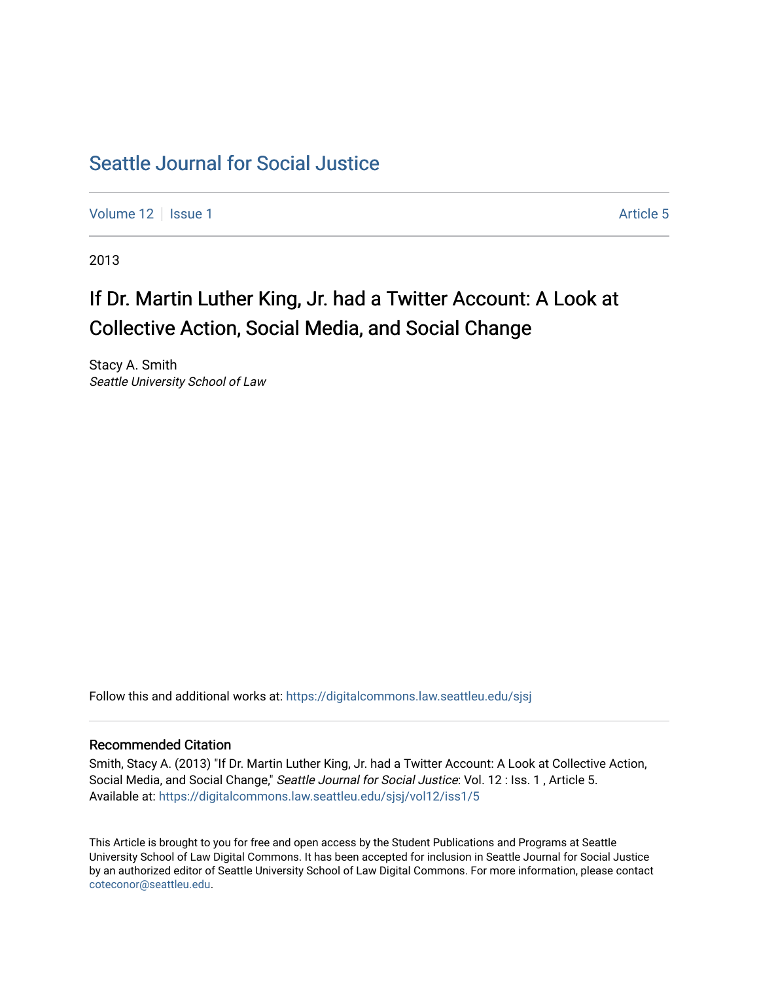# [Seattle Journal for Social Justice](https://digitalcommons.law.seattleu.edu/sjsj)

[Volume 12](https://digitalcommons.law.seattleu.edu/sjsj/vol12) | [Issue 1](https://digitalcommons.law.seattleu.edu/sjsj/vol12/iss1) Article 5

2013

# If Dr. Martin Luther King, Jr. had a Twitter Account: A Look at Collective Action, Social Media, and Social Change

Stacy A. Smith Seattle University School of Law

Follow this and additional works at: [https://digitalcommons.law.seattleu.edu/sjsj](https://digitalcommons.law.seattleu.edu/sjsj?utm_source=digitalcommons.law.seattleu.edu%2Fsjsj%2Fvol12%2Fiss1%2F5&utm_medium=PDF&utm_campaign=PDFCoverPages)

# Recommended Citation

Smith, Stacy A. (2013) "If Dr. Martin Luther King, Jr. had a Twitter Account: A Look at Collective Action, Social Media, and Social Change," Seattle Journal for Social Justice: Vol. 12 : Iss. 1, Article 5. Available at: [https://digitalcommons.law.seattleu.edu/sjsj/vol12/iss1/5](https://digitalcommons.law.seattleu.edu/sjsj/vol12/iss1/5?utm_source=digitalcommons.law.seattleu.edu%2Fsjsj%2Fvol12%2Fiss1%2F5&utm_medium=PDF&utm_campaign=PDFCoverPages)

This Article is brought to you for free and open access by the Student Publications and Programs at Seattle University School of Law Digital Commons. It has been accepted for inclusion in Seattle Journal for Social Justice by an authorized editor of Seattle University School of Law Digital Commons. For more information, please contact [coteconor@seattleu.edu.](mailto:coteconor@seattleu.edu)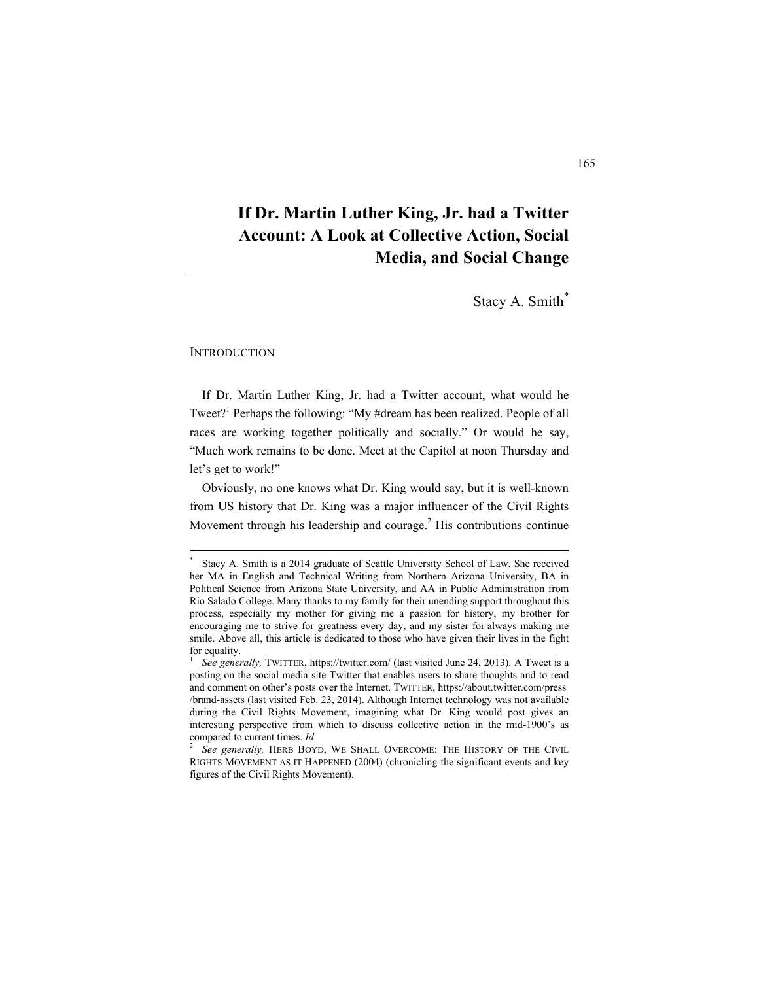# **If Dr. Martin Luther King, Jr. had a Twitter Account: A Look at Collective Action, Social Media, and Social Change**

Stacy A. Smith\*

#### **INTRODUCTION**

If Dr. Martin Luther King, Jr. had a Twitter account, what would he Tweet?<sup>1</sup> Perhaps the following: "My #dream has been realized. People of all races are working together politically and socially." Or would he say, "Much work remains to be done. Meet at the Capitol at noon Thursday and let's get to work!"

Obviously, no one knows what Dr. King would say, but it is well-known from US history that Dr. King was a major influencer of the Civil Rights Movement through his leadership and courage.<sup>2</sup> His contributions continue

 \* Stacy A. Smith is a 2014 graduate of Seattle University School of Law. She received her MA in English and Technical Writing from Northern Arizona University, BA in Political Science from Arizona State University, and AA in Public Administration from Rio Salado College. Many thanks to my family for their unending support throughout this process, especially my mother for giving me a passion for history, my brother for encouraging me to strive for greatness every day, and my sister for always making me smile. Above all, this article is dedicated to those who have given their lives in the fight for equality.

<sup>1</sup>  *See generally,* TWITTER, https://twitter.com/ (last visited June 24, 2013). A Tweet is a posting on the social media site Twitter that enables users to share thoughts and to read and comment on other's posts over the Internet. TWITTER, https://about.twitter.com/press /brand-assets (last visited Feb. 23, 2014). Although Internet technology was not available during the Civil Rights Movement, imagining what Dr. King would post gives an interesting perspective from which to discuss collective action in the mid-1900's as compared to current times. *Id.* 

*See generally,* HERB BOYD, WE SHALL OVERCOME: THE HISTORY OF THE CIVIL RIGHTS MOVEMENT AS IT HAPPENED (2004) (chronicling the significant events and key figures of the Civil Rights Movement).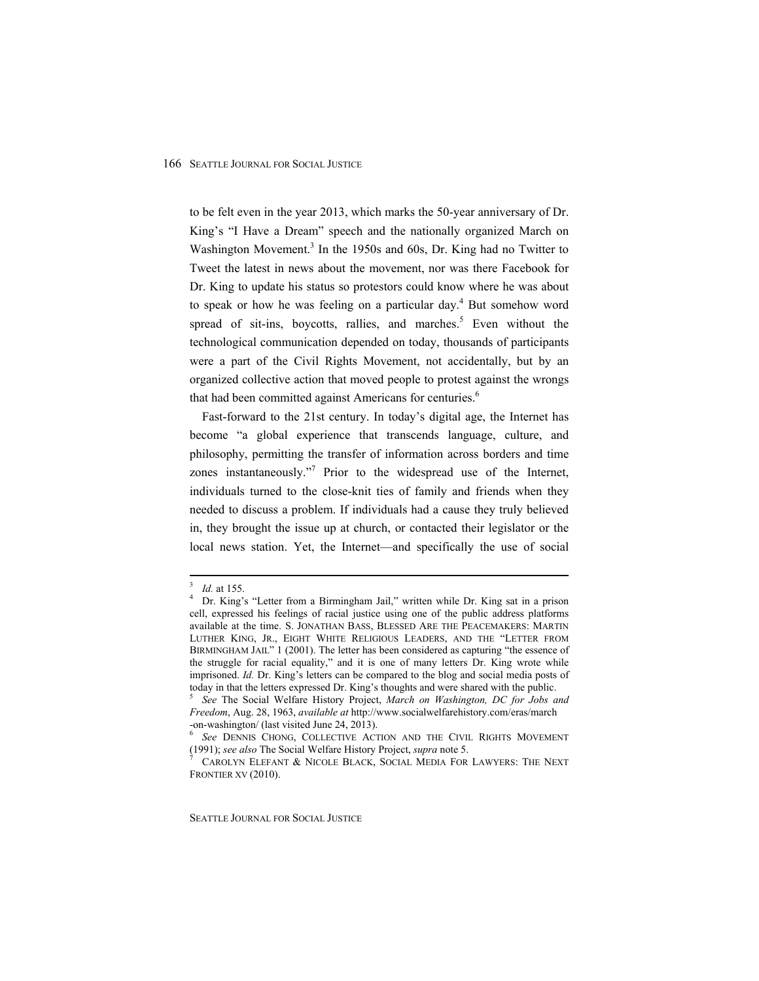to be felt even in the year 2013, which marks the 50-year anniversary of Dr. King's "I Have a Dream" speech and the nationally organized March on Washington Movement.<sup>3</sup> In the 1950s and 60s, Dr. King had no Twitter to Tweet the latest in news about the movement, nor was there Facebook for Dr. King to update his status so protestors could know where he was about to speak or how he was feeling on a particular day.<sup>4</sup> But somehow word spread of sit-ins, boycotts, rallies, and marches.<sup>5</sup> Even without the technological communication depended on today, thousands of participants were a part of the Civil Rights Movement, not accidentally, but by an organized collective action that moved people to protest against the wrongs that had been committed against Americans for centuries.<sup>6</sup>

Fast-forward to the 21st century. In today's digital age, the Internet has become "a global experience that transcends language, culture, and philosophy, permitting the transfer of information across borders and time zones instantaneously."<sup>7</sup> Prior to the widespread use of the Internet, individuals turned to the close-knit ties of family and friends when they needed to discuss a problem. If individuals had a cause they truly believed in, they brought the issue up at church, or contacted their legislator or the local news station. Yet, the Internet—and specifically the use of social

 $\frac{3}{3}$  Id at 155

<sup>&</sup>lt;sup>3</sup> *Id.* at 155.<br><sup>4</sup> Dr. King's "Letter from a Birmingham Jail," written while Dr. King sat in a prison cell, expressed his feelings of racial justice using one of the public address platforms available at the time. S. JONATHAN BASS, BLESSED ARE THE PEACEMAKERS: MARTIN LUTHER KING, JR., EIGHT WHITE RELIGIOUS LEADERS, AND THE "LETTER FROM BIRMINGHAM JAIL" 1 (2001). The letter has been considered as capturing "the essence of the struggle for racial equality," and it is one of many letters Dr. King wrote while imprisoned. *Id.* Dr. King's letters can be compared to the blog and social media posts of today in that the letters expressed Dr. King's thoughts and were shared with the public.

<sup>5</sup>  *See* The Social Welfare History Project, *March on Washington, DC for Jobs and Freedom*, Aug. 28, 1963, *available at* http://www.socialwelfarehistory.com/eras/march -on-washington/ (last visited June 24, 2013).

<sup>6</sup>  *See* DENNIS CHONG, COLLECTIVE ACTION AND THE CIVIL RIGHTS MOVEMENT (1991); *see also* The Social Welfare History Project, *supra* note 5. 7

CAROLYN ELEFANT & NICOLE BLACK, SOCIAL MEDIA FOR LAWYERS: THE NEXT FRONTIER XV (2010).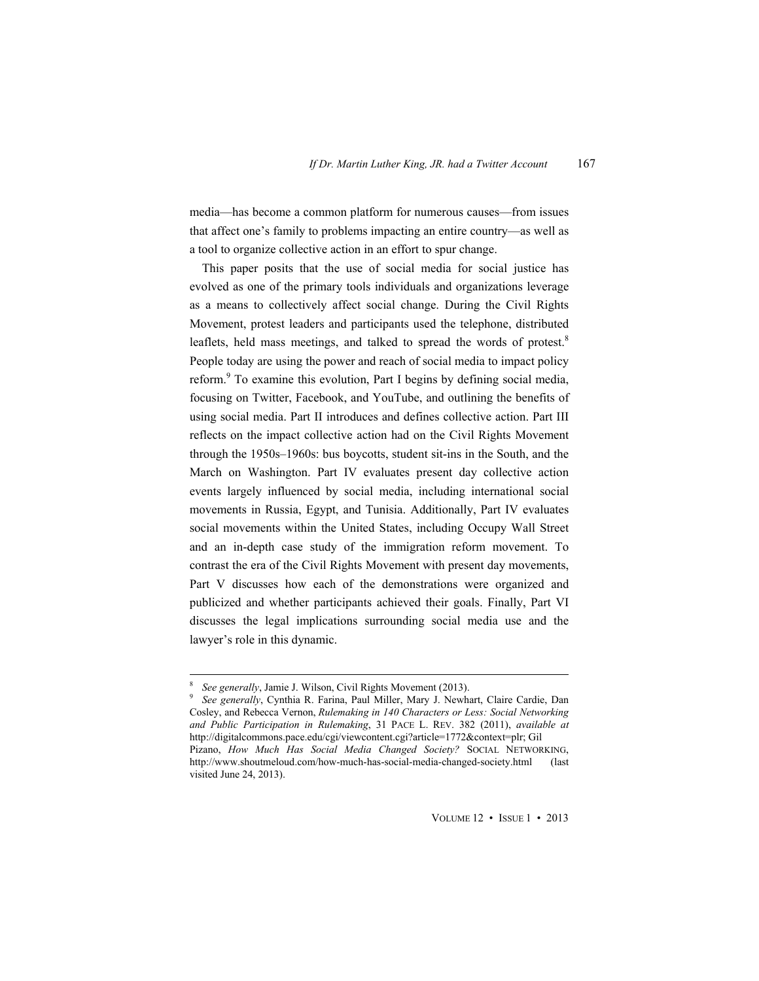media—has become a common platform for numerous causes—from issues that affect one's family to problems impacting an entire country—as well as a tool to organize collective action in an effort to spur change.

This paper posits that the use of social media for social justice has evolved as one of the primary tools individuals and organizations leverage as a means to collectively affect social change. During the Civil Rights Movement, protest leaders and participants used the telephone, distributed leaflets, held mass meetings, and talked to spread the words of protest.<sup>8</sup> People today are using the power and reach of social media to impact policy reform.<sup>9</sup> To examine this evolution, Part I begins by defining social media, focusing on Twitter, Facebook, and YouTube, and outlining the benefits of using social media. Part II introduces and defines collective action. Part III reflects on the impact collective action had on the Civil Rights Movement through the 1950s–1960s: bus boycotts, student sit-ins in the South, and the March on Washington. Part IV evaluates present day collective action events largely influenced by social media, including international social movements in Russia, Egypt, and Tunisia. Additionally, Part IV evaluates social movements within the United States, including Occupy Wall Street and an in-depth case study of the immigration reform movement. To contrast the era of the Civil Rights Movement with present day movements, Part V discusses how each of the demonstrations were organized and publicized and whether participants achieved their goals. Finally, Part VI discusses the legal implications surrounding social media use and the lawyer's role in this dynamic.

 $\frac{8}{2}$  See canavally Jamie J. Wilson Civil Bickto Movement (2012) <sup>8</sup> *See generally*, Jamie J. Wilson, Civil Rights Movement (2013).

*See generally*, Cynthia R. Farina, Paul Miller, Mary J. Newhart, Claire Cardie, Dan Cosley, and Rebecca Vernon, *Rulemaking in 140 Characters or Less: Social Networking and Public Participation in Rulemaking*, 31 PACE L. REV. 382 (2011), *available at* http://digitalcommons.pace.edu/cgi/viewcontent.cgi?article=1772&context=plr; Gil Pizano, *How Much Has Social Media Changed Society?* SOCIAL NETWORKING, http://www.shoutmeloud.com/how-much-has-social-media-changed-society.html (last visited June 24, 2013).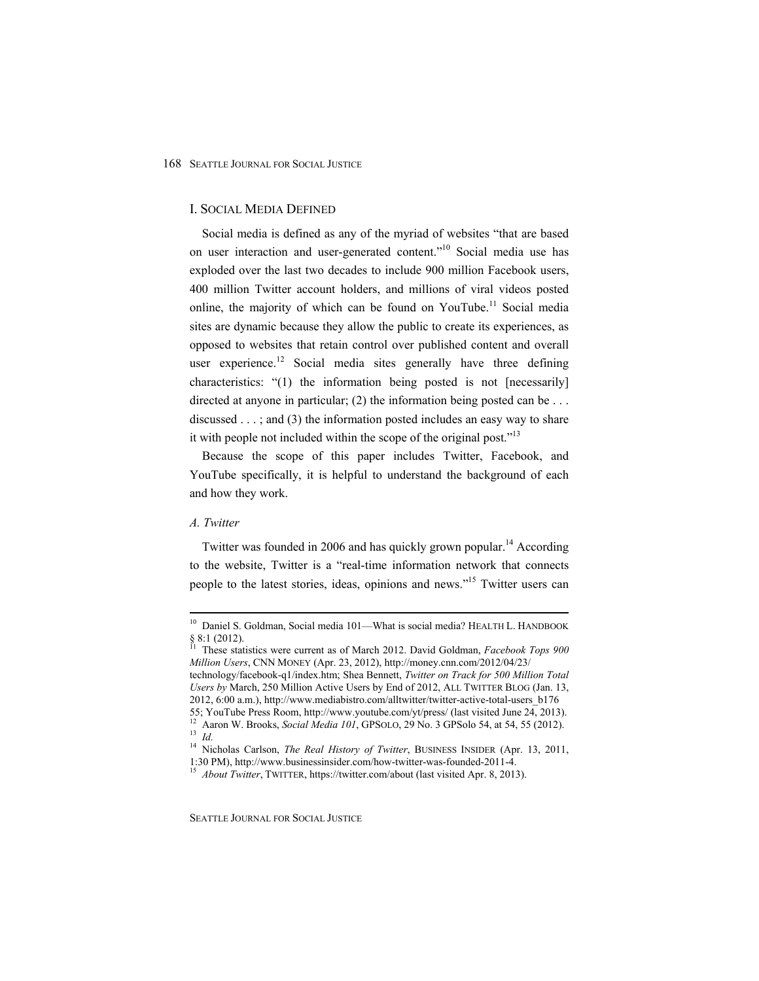## I. SOCIAL MEDIA DEFINED

Social media is defined as any of the myriad of websites "that are based on user interaction and user-generated content."<sup>10</sup> Social media use has exploded over the last two decades to include 900 million Facebook users, 400 million Twitter account holders, and millions of viral videos posted online, the majority of which can be found on YouTube.<sup>11</sup> Social media sites are dynamic because they allow the public to create its experiences, as opposed to websites that retain control over published content and overall user experience.<sup>12</sup> Social media sites generally have three defining characteristics: "(1) the information being posted is not [necessarily] directed at anyone in particular; (2) the information being posted can be . . . discussed . . . ; and (3) the information posted includes an easy way to share it with people not included within the scope of the original post."<sup>13</sup>

Because the scope of this paper includes Twitter, Facebook, and YouTube specifically, it is helpful to understand the background of each and how they work.

# *A. Twitter*

Twitter was founded in 2006 and has quickly grown popular.<sup>14</sup> According to the website, Twitter is a "real-time information network that connects people to the latest stories, ideas, opinions and news."<sup>15</sup> Twitter users can

<sup>&</sup>lt;sup>10</sup> Daniel S. Goldman, Social media 101—What is social media? HEALTH L. HANDBOOK  $\frac{8}{11}$  8:1 (2012).

<sup>11</sup> These statistics were current as of March 2012. David Goldman, *Facebook Tops 900 Million Users*, CNN MONEY (Apr. 23, 2012), http://money.cnn.com/2012/04/23/ technology/facebook-q1/index.htm; Shea Bennett, *Twitter on Track for 500 Million Total Users by* March, 250 Million Active Users by End of 2012, ALL TWITTER BLOG (Jan. 13,

<sup>2012, 6:00</sup> a.m.), http://www.mediabistro.com/alltwitter/twitter-active-total-users\_b176

<sup>55;</sup> YouTube Press Room, http://www.youtube.com/yt/press/ (last visited June 24, 2013). 12 Aaron W. Brooks, *Social Media 101*, GPSOLO, 29 No. 3 GPSolo 54, at 54, 55 (2012). 13 *Id.*

<sup>&</sup>lt;sup>14</sup> Nicholas Carlson, *The Real History of Twitter*, BUSINESS INSIDER (Apr. 13, 2011, 1:30 PM), http://www.businessinsider.com/how-twitter-was-founded-2011-4. 15 *About Twitter*, TWITTER, https://twitter.com/about (last visited Apr. 8, 2013).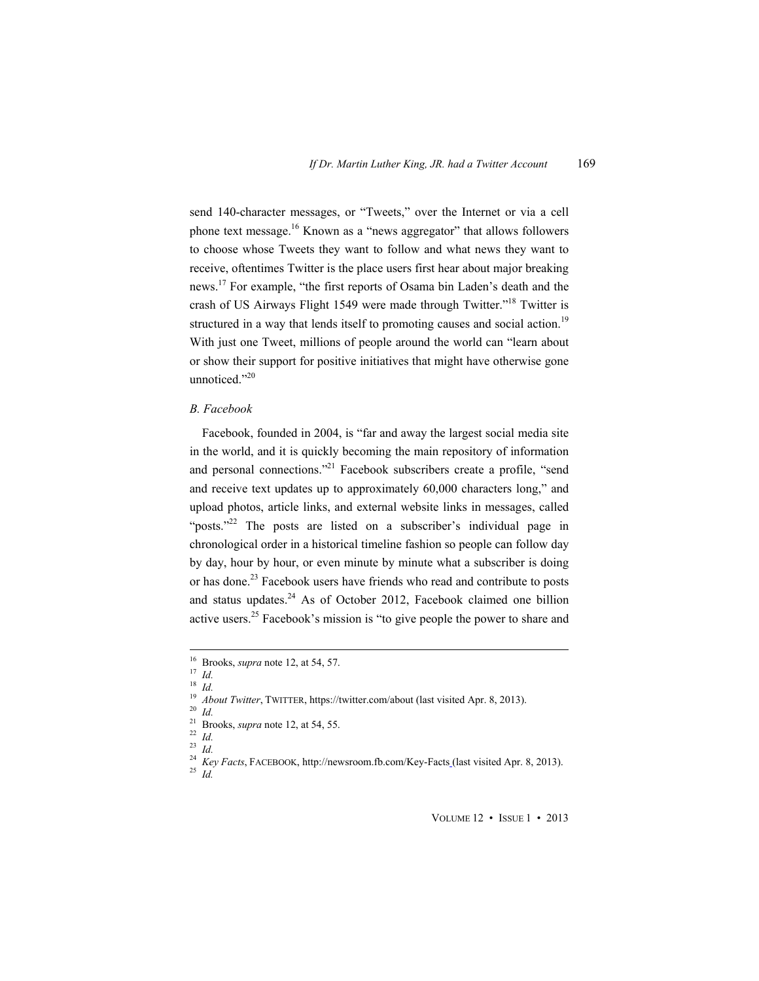send 140-character messages, or "Tweets," over the Internet or via a cell phone text message.<sup>16</sup> Known as a "news aggregator" that allows followers to choose whose Tweets they want to follow and what news they want to receive, oftentimes Twitter is the place users first hear about major breaking news.17 For example, "the first reports of Osama bin Laden's death and the crash of US Airways Flight 1549 were made through Twitter."18 Twitter is structured in a way that lends itself to promoting causes and social action.<sup>19</sup> With just one Tweet, millions of people around the world can "learn about or show their support for positive initiatives that might have otherwise gone unnoticed."<sup>20</sup>

#### *B. Facebook*

Facebook, founded in 2004, is "far and away the largest social media site in the world, and it is quickly becoming the main repository of information and personal connections."<sup>21</sup> Facebook subscribers create a profile, "send and receive text updates up to approximately 60,000 characters long," and upload photos, article links, and external website links in messages, called "posts."<sup>22</sup> The posts are listed on a subscriber's individual page in chronological order in a historical timeline fashion so people can follow day by day, hour by hour, or even minute by minute what a subscriber is doing or has done.<sup>23</sup> Facebook users have friends who read and contribute to posts and status updates. $24$  As of October 2012, Facebook claimed one billion active users.<sup>25</sup> Facebook's mission is "to give people the power to share and

 16 Brooks, *supra* note 12, at 54, 57. 17 *Id.* <sup>18</sup> *Id.*

<sup>19</sup> *About Twitter*, TWITTER, https://twitter.com/about (last visited Apr. 8, 2013). 20 *Id.*

<sup>&</sup>lt;sup>21</sup> Brooks, *supra* note 12, at 54, 55.<br>
<sup>22</sup> *Id.*<br>
<sup>23</sup> *IJ* 

<sup>23</sup> *Id.*

<sup>&</sup>lt;sup>24</sup> Key Facts, FACEBOOK, http://newsroom.fb.com/Key-Facts (last visited Apr. 8, 2013).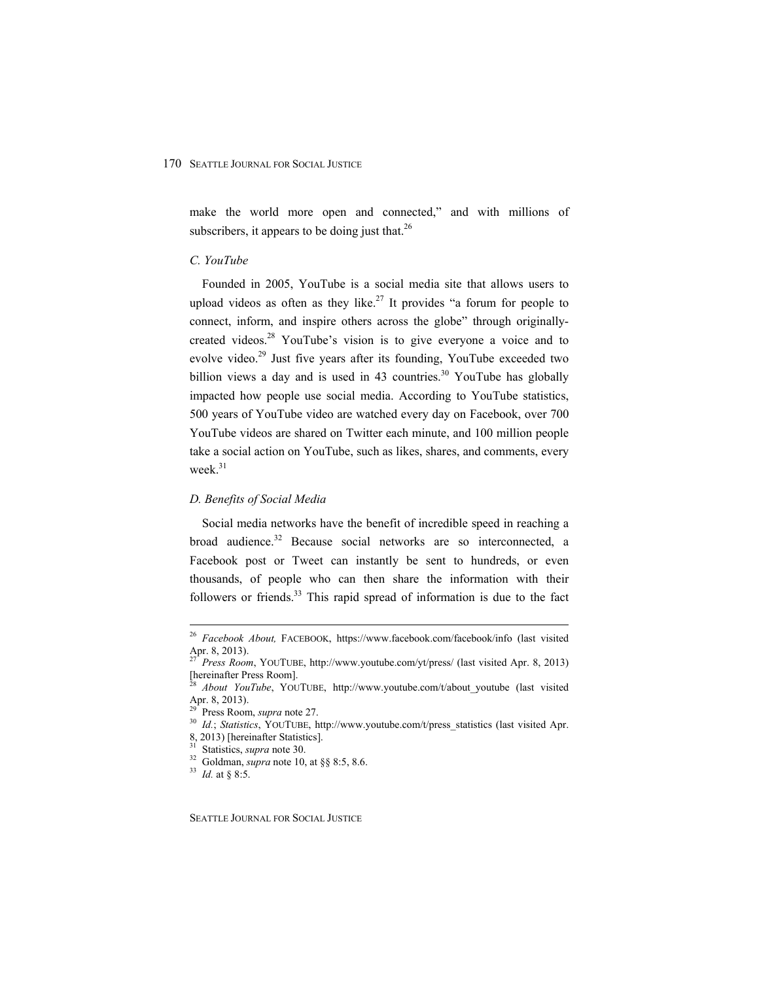make the world more open and connected," and with millions of subscribers, it appears to be doing just that.<sup>26</sup>

# *C. YouTube*

Founded in 2005, YouTube is a social media site that allows users to upload videos as often as they like.<sup>27</sup> It provides "a forum for people to connect, inform, and inspire others across the globe" through originallycreated videos.<sup>28</sup> YouTube's vision is to give everyone a voice and to evolve video.<sup>29</sup> Just five years after its founding, YouTube exceeded two billion views a day and is used in 43 countries.<sup>30</sup> YouTube has globally impacted how people use social media. According to YouTube statistics, 500 years of YouTube video are watched every day on Facebook, over 700 YouTube videos are shared on Twitter each minute, and 100 million people take a social action on YouTube, such as likes, shares, and comments, every week.<sup>31</sup>

# *D. Benefits of Social Media*

Social media networks have the benefit of incredible speed in reaching a broad audience.<sup>32</sup> Because social networks are so interconnected, a Facebook post or Tweet can instantly be sent to hundreds, or even thousands, of people who can then share the information with their followers or friends. $33$  This rapid spread of information is due to the fact

<sup>30</sup> Id.; *Statistics*, YOUTUBE, http://www.youtube.com/t/press\_statistics (last visited Apr.

 <sup>26</sup> *Facebook About,* FACEBOOK, https://www.facebook.com/facebook/info (last visited Apr. 8, 2013).

<sup>27</sup> *Press Room*, YOUTUBE, http://www.youtube.com/yt/press/ (last visited Apr. 8, 2013) [hereinafter Press Room].

About YouTube, YOUTUBE, http://www.youtube.com/t/about youtube (last visited Apr. 8, 2013).<br><sup>29</sup> Press Room, *supra* note 27.

<sup>8, 2013) [</sup>hereinafter Statistics].

<sup>31</sup> Statistics, *supra* note 30. 32 Goldman, *supra* note 10, at §§ 8:5, 8.6. 33 *Id.* at § 8:5.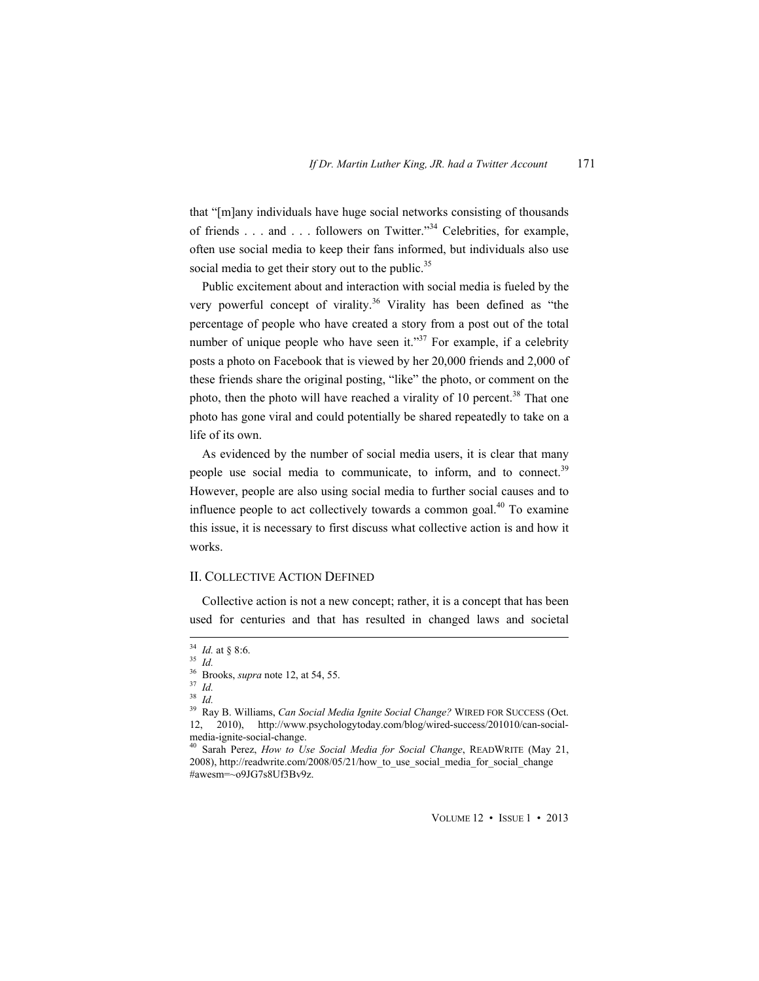that "[m]any individuals have huge social networks consisting of thousands of friends . . . and . . . followers on Twitter."34 Celebrities, for example, often use social media to keep their fans informed, but individuals also use social media to get their story out to the public.<sup>35</sup>

Public excitement about and interaction with social media is fueled by the very powerful concept of virality.<sup>36</sup> Virality has been defined as "the percentage of people who have created a story from a post out of the total number of unique people who have seen it."<sup>37</sup> For example, if a celebrity posts a photo on Facebook that is viewed by her 20,000 friends and 2,000 of these friends share the original posting, "like" the photo, or comment on the photo, then the photo will have reached a virality of 10 percent.<sup>38</sup> That one photo has gone viral and could potentially be shared repeatedly to take on a life of its own.

As evidenced by the number of social media users, it is clear that many people use social media to communicate, to inform, and to connect.<sup>39</sup> However, people are also using social media to further social causes and to influence people to act collectively towards a common goal. $40$  To examine this issue, it is necessary to first discuss what collective action is and how it works.

# II. COLLECTIVE ACTION DEFINED

Collective action is not a new concept; rather, it is a concept that has been used for centuries and that has resulted in changed laws and societal

 $\frac{34}{35}$  *Id.* at § 8:6.  $\frac{1}{35}$  *Id.* 

<sup>&</sup>lt;sup>35</sup> *Id. Brooks, supra* note 12, at 54, 55.<br><sup>37</sup> *Id* 

<sup>38</sup> *Id.*

<sup>39</sup> Ray B. Williams, *Can Social Media Ignite Social Change?* WIRED FOR SUCCESS (Oct. 12, 2010), http://www.psychologytoday.com/blog/wired-success/201010/can-socialmedia-ignite-social-change.

Sarah Perez, *How to Use Social Media for Social Change*, READWRITE (May 21, 2008), http://readwrite.com/2008/05/21/how\_to\_use\_social\_media\_for\_social\_change #awesm=~o9JG7s8Uf3Bv9z.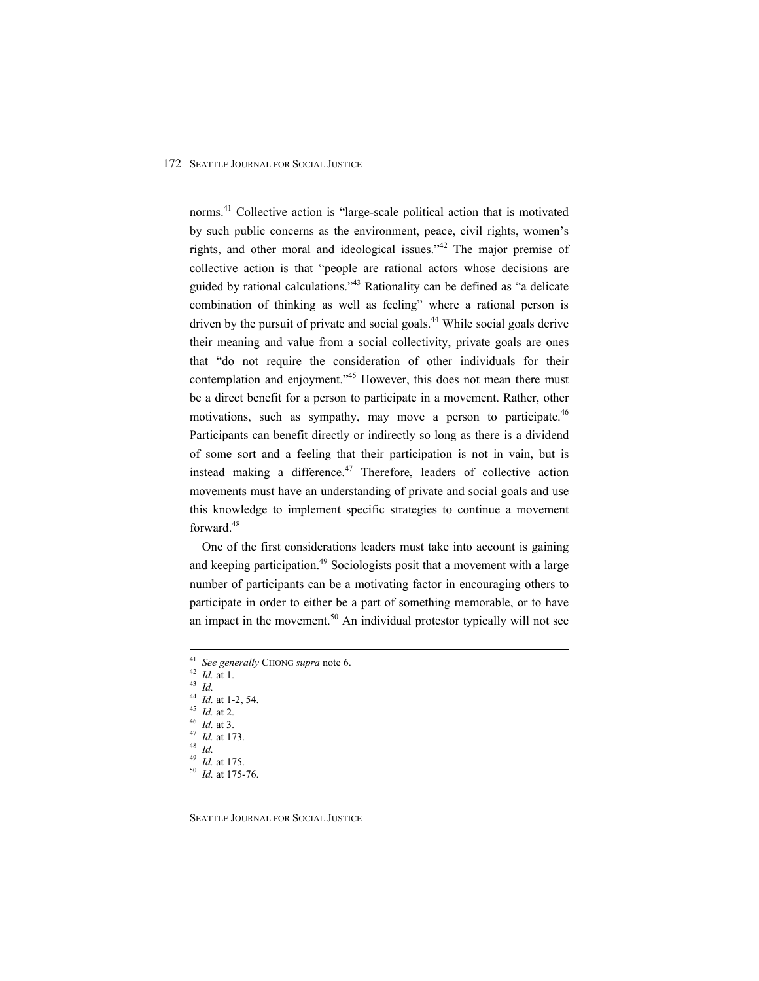norms.<sup>41</sup> Collective action is "large-scale political action that is motivated by such public concerns as the environment, peace, civil rights, women's rights, and other moral and ideological issues."<sup>42</sup> The major premise of collective action is that "people are rational actors whose decisions are guided by rational calculations."<sup>43</sup> Rationality can be defined as "a delicate combination of thinking as well as feeling" where a rational person is driven by the pursuit of private and social goals.44 While social goals derive their meaning and value from a social collectivity, private goals are ones that "do not require the consideration of other individuals for their contemplation and enjoyment."<sup>45</sup> However, this does not mean there must be a direct benefit for a person to participate in a movement. Rather, other motivations, such as sympathy, may move a person to participate.<sup>46</sup> Participants can benefit directly or indirectly so long as there is a dividend of some sort and a feeling that their participation is not in vain, but is instead making a difference.<sup>47</sup> Therefore, leaders of collective action movements must have an understanding of private and social goals and use this knowledge to implement specific strategies to continue a movement forward.<sup>48</sup>

One of the first considerations leaders must take into account is gaining and keeping participation.<sup>49</sup> Sociologists posit that a movement with a large number of participants can be a motivating factor in encouraging others to participate in order to either be a part of something memorable, or to have an impact in the movement.<sup>50</sup> An individual protestor typically will not see

44 *Id.* at 1-2, 54.<br>
45 *Id.* at 2.<br>
46 *Id.* at 3.<br>
47 *Id.* at 173.<br>
48 *Id.*<br>
49 *Id.* at 175.

<sup>49</sup> *Id.* at 175. 50 *Id.* at 175-76.

 <sup>41</sup> *See generally* CHONG *supra* note 6. 42 *Id.* at 1. 43 *Id.*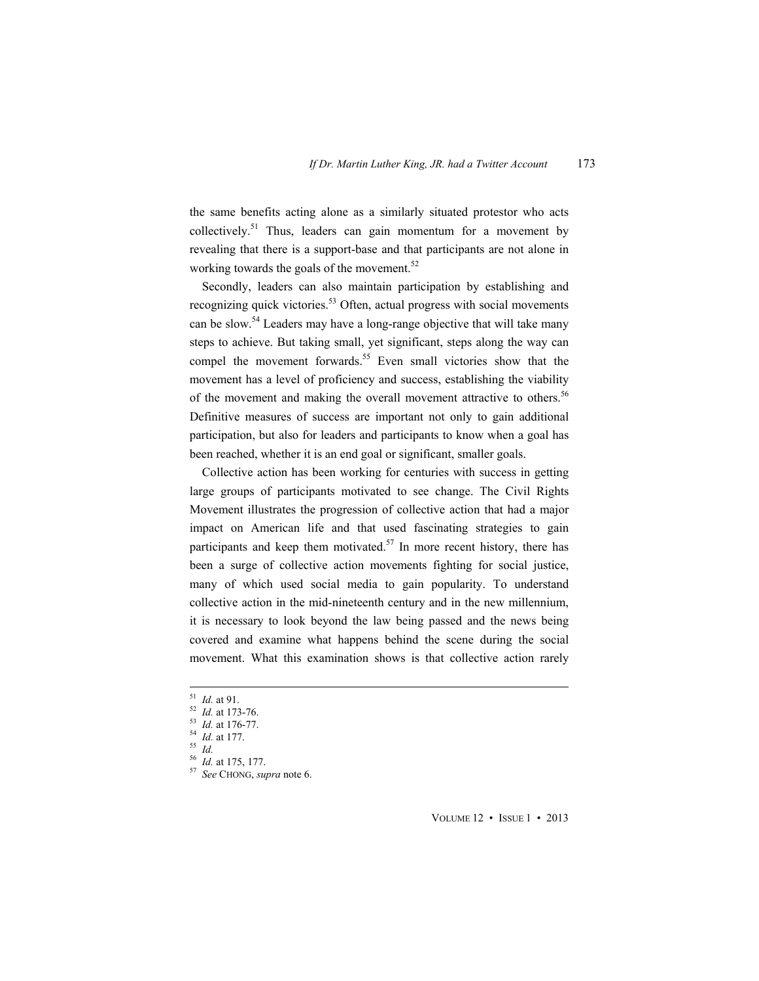the same benefits acting alone as a similarly situated protestor who acts collectively.<sup>51</sup> Thus, leaders can gain momentum for a movement by revealing that there is a support-base and that participants are not alone in working towards the goals of the movement.<sup>52</sup>

Secondly, leaders can also maintain participation by establishing and recognizing quick victories.<sup>53</sup> Often, actual progress with social movements can be slow.<sup>54</sup> Leaders may have a long-range objective that will take many steps to achieve. But taking small, yet significant, steps along the way can compel the movement forwards.<sup>55</sup> Even small victories show that the movement has a level of proficiency and success, establishing the viability of the movement and making the overall movement attractive to others.<sup>56</sup> Definitive measures of success are important not only to gain additional participation, but also for leaders and participants to know when a goal has been reached, whether it is an end goal or significant, smaller goals.

Collective action has been working for centuries with success in getting large groups of participants motivated to see change. The Civil Rights Movement illustrates the progression of collective action that had a major impact on American life and that used fascinating strategies to gain participants and keep them motivated.<sup>57</sup> In more recent history, there has been a surge of collective action movements fighting for social justice, many of which used social media to gain popularity. To understand collective action in the mid-nineteenth century and in the new millennium, it is necessary to look beyond the law being passed and the news being covered and examine what happens behind the scene during the social movement. What this examination shows is that collective action rarely

<sup>51</sup> *Id.* at 91.<br><sup>52</sup> *Id.* at 173-76.<br><sup>53</sup> *Id.* at 176-77.<br><sup>54</sup> *Id.* at 177.<br><sup>55</sup> *Id.* at 175, 177.<br><sup>57</sup> *See* CHONG, *supra* note 6.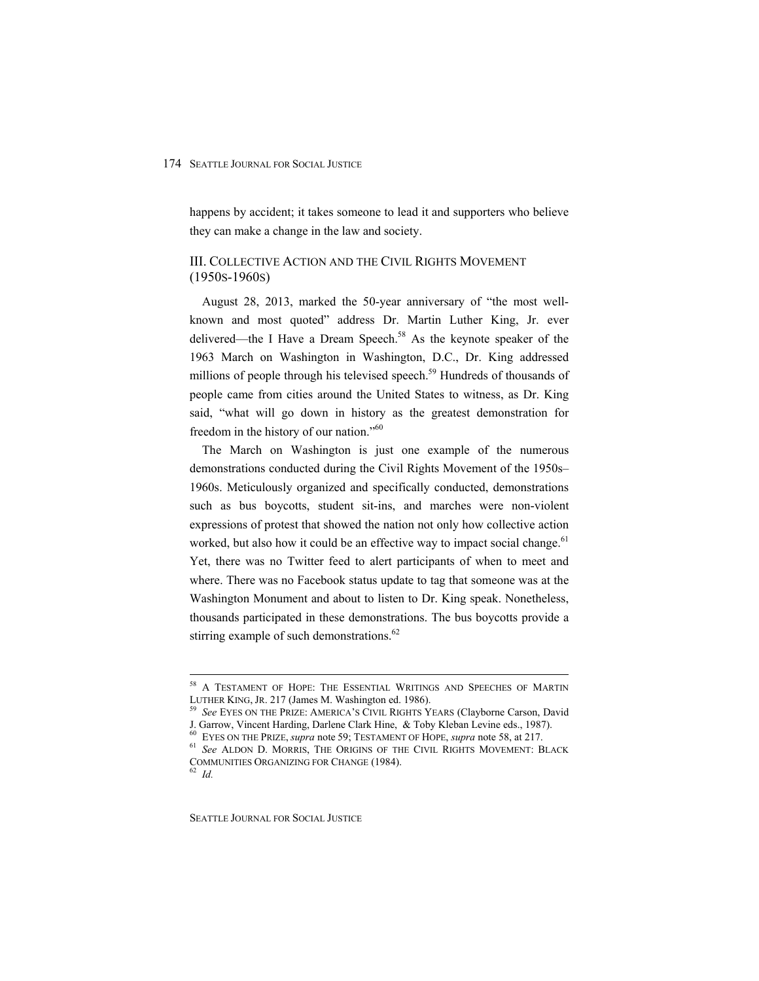happens by accident; it takes someone to lead it and supporters who believe they can make a change in the law and society.

# III. COLLECTIVE ACTION AND THE CIVIL RIGHTS MOVEMENT (1950S-1960S)

August 28, 2013, marked the 50-year anniversary of "the most wellknown and most quoted" address Dr. Martin Luther King, Jr. ever delivered—the I Have a Dream Speech.<sup>58</sup> As the keynote speaker of the 1963 March on Washington in Washington, D.C., Dr. King addressed millions of people through his televised speech.<sup>59</sup> Hundreds of thousands of people came from cities around the United States to witness, as Dr. King said, "what will go down in history as the greatest demonstration for freedom in the history of our nation."<sup>60</sup>

The March on Washington is just one example of the numerous demonstrations conducted during the Civil Rights Movement of the 1950s– 1960s. Meticulously organized and specifically conducted, demonstrations such as bus boycotts, student sit-ins, and marches were non-violent expressions of protest that showed the nation not only how collective action worked, but also how it could be an effective way to impact social change.<sup>61</sup> Yet, there was no Twitter feed to alert participants of when to meet and where. There was no Facebook status update to tag that someone was at the Washington Monument and about to listen to Dr. King speak. Nonetheless, thousands participated in these demonstrations. The bus boycotts provide a stirring example of such demonstrations.<sup>62</sup>

<sup>&</sup>lt;sup>58</sup> A TESTAMENT OF HOPE: THE ESSENTIAL WRITINGS AND SPEECHES OF MARTIN<br>LUTHER KING, JR. 217 (James M. Washington ed. 1986).

<sup>&</sup>lt;sup>59</sup> See EYES ON THE PRIZE: AMERICA'S CIVIL RIGHTS YEARS (Clayborne Carson, David J. Garrow, Vincent Harding, Darlene Clark Hine, & Toby Kleban Levine eds., 1987).

<sup>&</sup>lt;sup>60</sup> EYES ON THE PRIZE, *supra* note 59; TESTAMENT OF HOPE, *supra* note 58, at 217.<br><sup>61</sup> *See* ALDON D. MORRIS, THE ORIGINS OF THE CIVIL RIGHTS MOVEMENT: BLACK COMMUNITIES ORGANIZING FOR CHANGE (1984). 62 *Id.*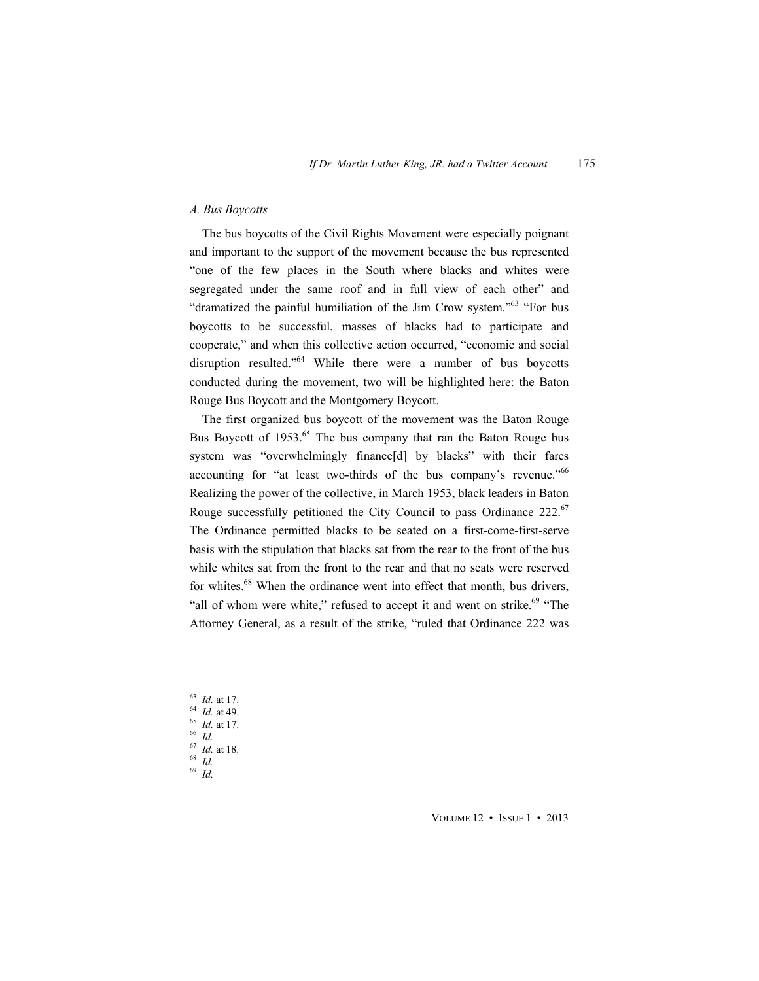# *A. Bus Boycotts*

The bus boycotts of the Civil Rights Movement were especially poignant and important to the support of the movement because the bus represented "one of the few places in the South where blacks and whites were segregated under the same roof and in full view of each other" and "dramatized the painful humiliation of the Jim Crow system."63 "For bus boycotts to be successful, masses of blacks had to participate and cooperate," and when this collective action occurred, "economic and social disruption resulted."64 While there were a number of bus boycotts conducted during the movement, two will be highlighted here: the Baton Rouge Bus Boycott and the Montgomery Boycott.

The first organized bus boycott of the movement was the Baton Rouge Bus Boycott of 1953.<sup>65</sup> The bus company that ran the Baton Rouge bus system was "overwhelmingly finance[d] by blacks" with their fares accounting for "at least two-thirds of the bus company's revenue."66 Realizing the power of the collective, in March 1953, black leaders in Baton Rouge successfully petitioned the City Council to pass Ordinance  $222^{67}$ The Ordinance permitted blacks to be seated on a first-come-first-serve basis with the stipulation that blacks sat from the rear to the front of the bus while whites sat from the front to the rear and that no seats were reserved for whites.<sup>68</sup> When the ordinance went into effect that month, bus drivers, "all of whom were white," refused to accept it and went on strike. $69$  "The Attorney General, as a result of the strike, "ruled that Ordinance 222 was

- <sup>63</sup> *Id.* at 17. 64 *Id.* at 49. 65 *Id.* at 17. 66 *Id.*
- 
- 
- <sup>67</sup> *Id.* at 18. 68 *Id.*
- 
- <sup>69</sup> *Id.*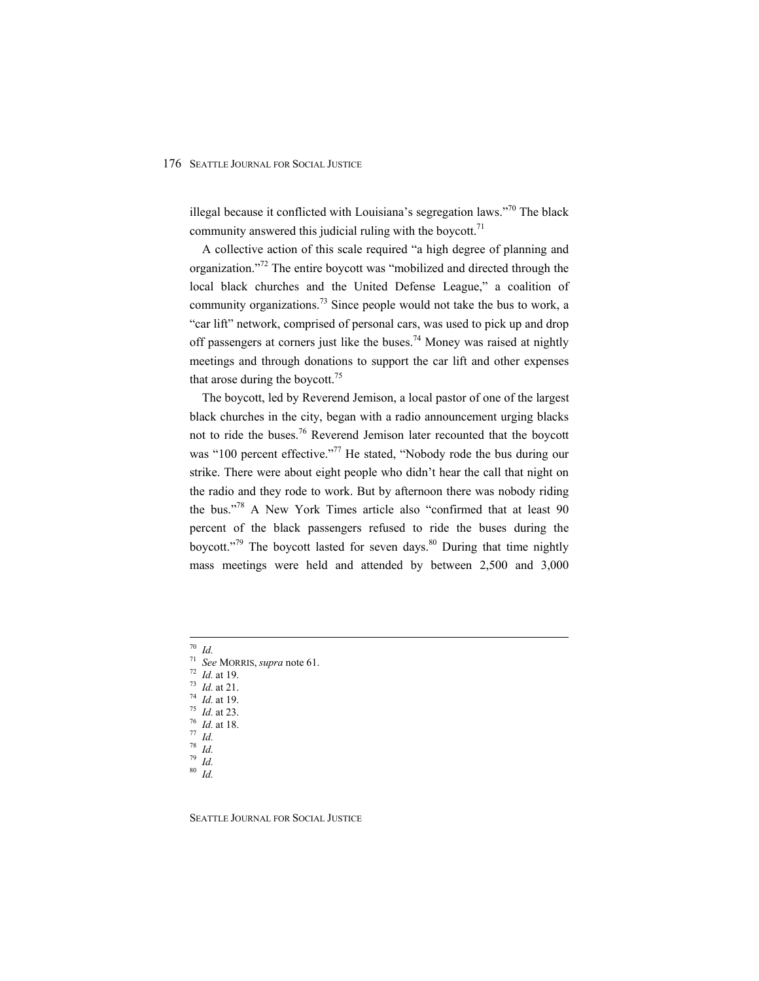illegal because it conflicted with Louisiana's segregation laws."70 The black community answered this judicial ruling with the boycott. $71$ 

A collective action of this scale required "a high degree of planning and organization."72 The entire boycott was "mobilized and directed through the local black churches and the United Defense League," a coalition of community organizations.<sup>73</sup> Since people would not take the bus to work, a "car lift" network, comprised of personal cars, was used to pick up and drop off passengers at corners just like the buses.<sup>74</sup> Money was raised at nightly meetings and through donations to support the car lift and other expenses that arose during the boycott.<sup>75</sup>

The boycott, led by Reverend Jemison, a local pastor of one of the largest black churches in the city, began with a radio announcement urging blacks not to ride the buses.76 Reverend Jemison later recounted that the boycott was "100 percent effective."<sup>77</sup> He stated, "Nobody rode the bus during our strike. There were about eight people who didn't hear the call that night on the radio and they rode to work. But by afternoon there was nobody riding the bus."78 A New York Times article also "confirmed that at least 90 percent of the black passengers refused to ride the buses during the boycott."<sup>79</sup> The boycott lasted for seven days. $80$  During that time nightly mass meetings were held and attended by between 2,500 and 3,000

<sup>70</sup> *Id.*

- <sup>71</sup> *See* MORRIS, *supra* note 61. 72 *Id.* at 19. 73 *Id.* at 21. 74 *Id.* at 19. 75 *Id.* at 23. 76 *Id.* at 18. 77 *Id.*
- 
- 
- 
- 
- 
- <sup>78</sup> *Id.*
- <sup>79</sup> *Id.*
- <sup>80</sup> *Id.*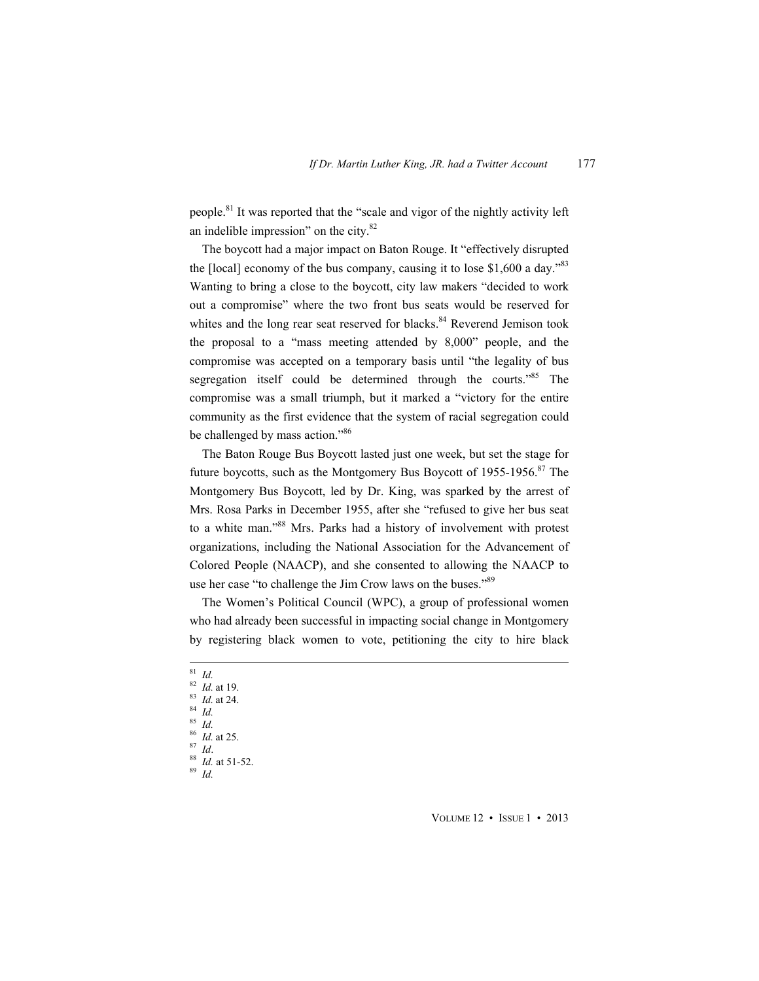people.<sup>81</sup> It was reported that the "scale and vigor of the nightly activity left an indelible impression" on the city.82

The boycott had a major impact on Baton Rouge. It "effectively disrupted the [local] economy of the bus company, causing it to lose  $$1,600$  a day.<sup>383</sup> Wanting to bring a close to the boycott, city law makers "decided to work out a compromise" where the two front bus seats would be reserved for whites and the long rear seat reserved for blacks.<sup>84</sup> Reverend Jemison took the proposal to a "mass meeting attended by 8,000" people, and the compromise was accepted on a temporary basis until "the legality of bus segregation itself could be determined through the courts.<sup>585</sup> The compromise was a small triumph, but it marked a "victory for the entire community as the first evidence that the system of racial segregation could be challenged by mass action."<sup>86</sup>

The Baton Rouge Bus Boycott lasted just one week, but set the stage for future boycotts, such as the Montgomery Bus Boycott of 1955-1956.<sup>87</sup> The Montgomery Bus Boycott, led by Dr. King, was sparked by the arrest of Mrs. Rosa Parks in December 1955, after she "refused to give her bus seat to a white man."88 Mrs. Parks had a history of involvement with protest organizations, including the National Association for the Advancement of Colored People (NAACP), and she consented to allowing the NAACP to use her case "to challenge the Jim Crow laws on the buses."<sup>89</sup>

The Women's Political Council (WPC), a group of professional women who had already been successful in impacting social change in Montgomery by registering black women to vote, petitioning the city to hire black

- <sup>81</sup> *Id.*
- <sup>82</sup> *Id.* at 19. 83 *Id.* at 24. 84 *Id.*
- 
- 
- $rac{85}{86}$  *Id.* at 25.
- 
- <sup>86</sup> *Id.* at 25. 87 *Id*. 88 *Id.* at 51-52. 89 *Id.*
	-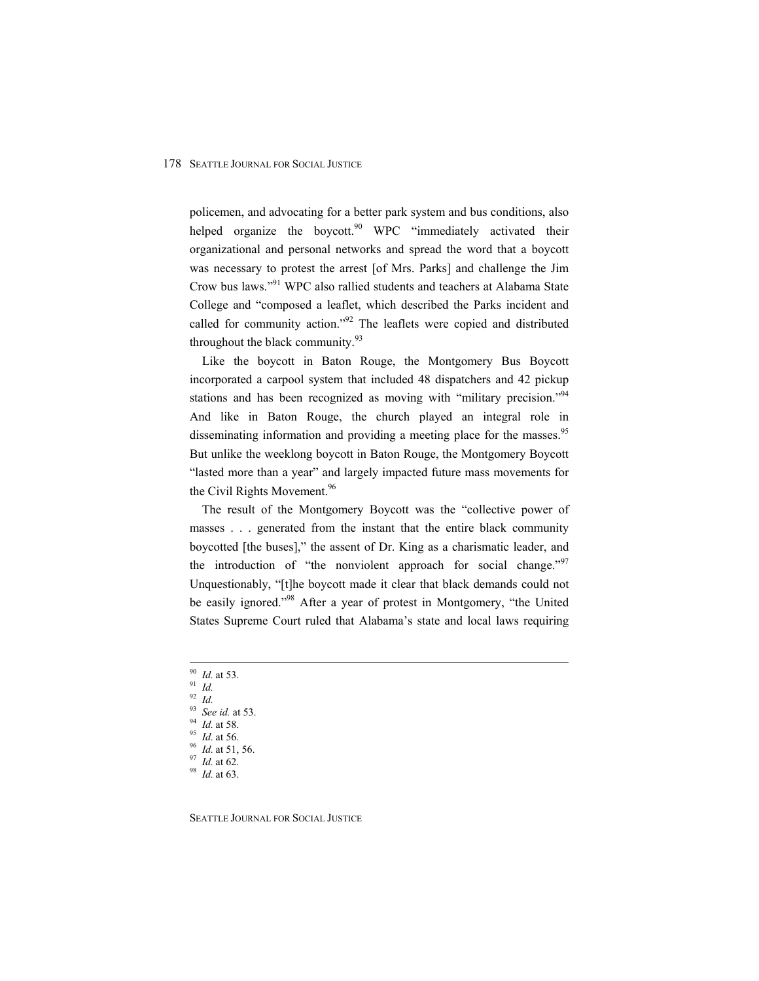policemen, and advocating for a better park system and bus conditions, also helped organize the boycott.<sup>90</sup> WPC "immediately activated their organizational and personal networks and spread the word that a boycott was necessary to protest the arrest [of Mrs. Parks] and challenge the Jim Crow bus laws."91 WPC also rallied students and teachers at Alabama State College and "composed a leaflet, which described the Parks incident and called for community action."92 The leaflets were copied and distributed throughout the black community.<sup>93</sup>

Like the boycott in Baton Rouge, the Montgomery Bus Boycott incorporated a carpool system that included 48 dispatchers and 42 pickup stations and has been recognized as moving with "military precision."<sup>94</sup> And like in Baton Rouge, the church played an integral role in disseminating information and providing a meeting place for the masses.<sup>95</sup> But unlike the weeklong boycott in Baton Rouge, the Montgomery Boycott "lasted more than a year" and largely impacted future mass movements for the Civil Rights Movement.<sup>96</sup>

The result of the Montgomery Boycott was the "collective power of masses . . . generated from the instant that the entire black community boycotted [the buses]," the assent of Dr. King as a charismatic leader, and the introduction of "the nonviolent approach for social change."<sup>97</sup> Unquestionably, "[t]he boycott made it clear that black demands could not be easily ignored."<sup>98</sup> After a year of protest in Montgomery, "the United States Supreme Court ruled that Alabama's state and local laws requiring

- <sup>90</sup> *Id.* at 53. 91 *Id.*
- 
- 
- $\frac{91}{92}$  *Id.*<br> $\frac{92}{93}$  *Id.*<br> $\frac{93}{96}$  *See id.* at 53.
- 
- 
- 93 *See id.* at 53. 94 *Id.* at 58. 95 *Id.* at 56. 96 *Id.* at 51, 56. 97 *Id.* at 62. 98 *Id.* at 63.
- 
-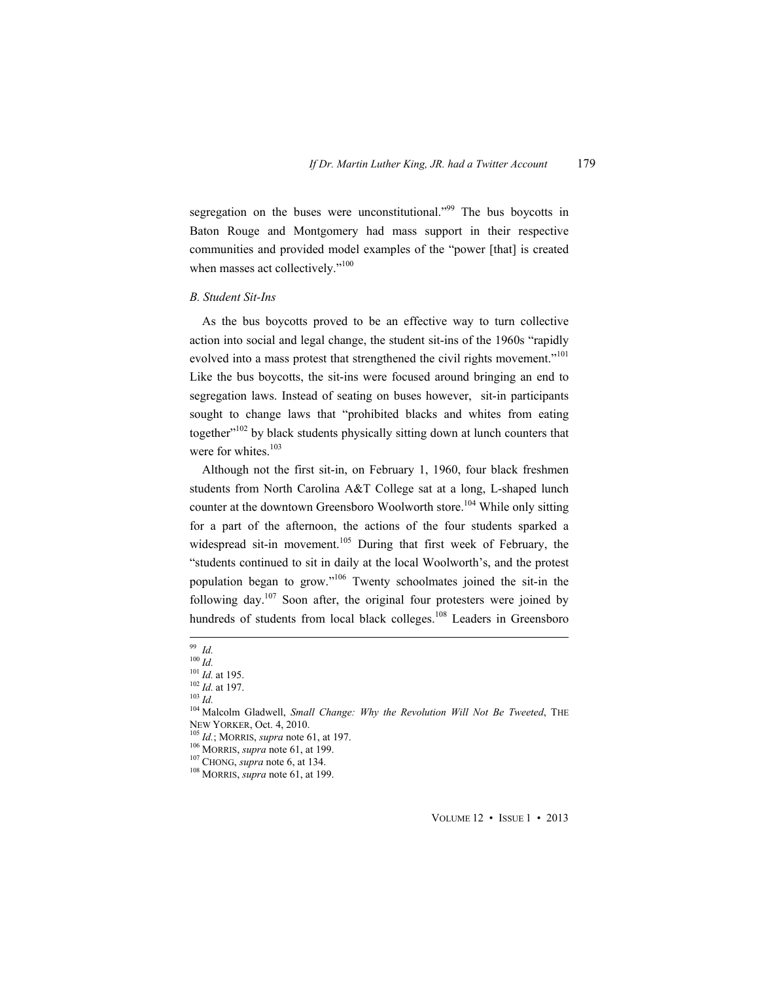segregation on the buses were unconstitutional."<sup>99</sup> The bus boycotts in Baton Rouge and Montgomery had mass support in their respective communities and provided model examples of the "power [that] is created when masses act collectively."<sup>100</sup>

#### *B. Student Sit-Ins*

As the bus boycotts proved to be an effective way to turn collective action into social and legal change, the student sit-ins of the 1960s "rapidly evolved into a mass protest that strengthened the civil rights movement."<sup>101</sup> Like the bus boycotts, the sit-ins were focused around bringing an end to segregation laws. Instead of seating on buses however, sit-in participants sought to change laws that "prohibited blacks and whites from eating together"<sup>102</sup> by black students physically sitting down at lunch counters that were for whites.<sup>103</sup>

Although not the first sit-in, on February 1, 1960, four black freshmen students from North Carolina A&T College sat at a long, L-shaped lunch counter at the downtown Greensboro Woolworth store.<sup>104</sup> While only sitting for a part of the afternoon, the actions of the four students sparked a widespread sit-in movement.<sup>105</sup> During that first week of February, the "students continued to sit in daily at the local Woolworth's, and the protest population began to grow."106 Twenty schoolmates joined the sit-in the following day.<sup>107</sup> Soon after, the original four protesters were joined by hundreds of students from local black colleges.<sup>108</sup> Leaders in Greensboro

 <sup>99</sup> *Id.*

<sup>100</sup> *Id.*<br>
<sup>100</sup> *Id.* at 195.<br>
<sup>102</sup> *Id.* at 197.<br>
<sup>103</sup> *Id.* <sup>104</sup> Malcolm Gladwell, *Small Change: Why the Revolution Will Not Be Tweeted*, THE NEW YORKER, Oct. 4, 2010.<br><sup>105</sup> *Id.*; MORRIS, *supra* note 61, at 197.<br><sup>106</sup> MORRIS, *supra* note 61, at 199.<br><sup>107</sup> CHONG, *supra* note 6, at 134.<br><sup>108</sup> MORRIS, *supra* note 61, at 199.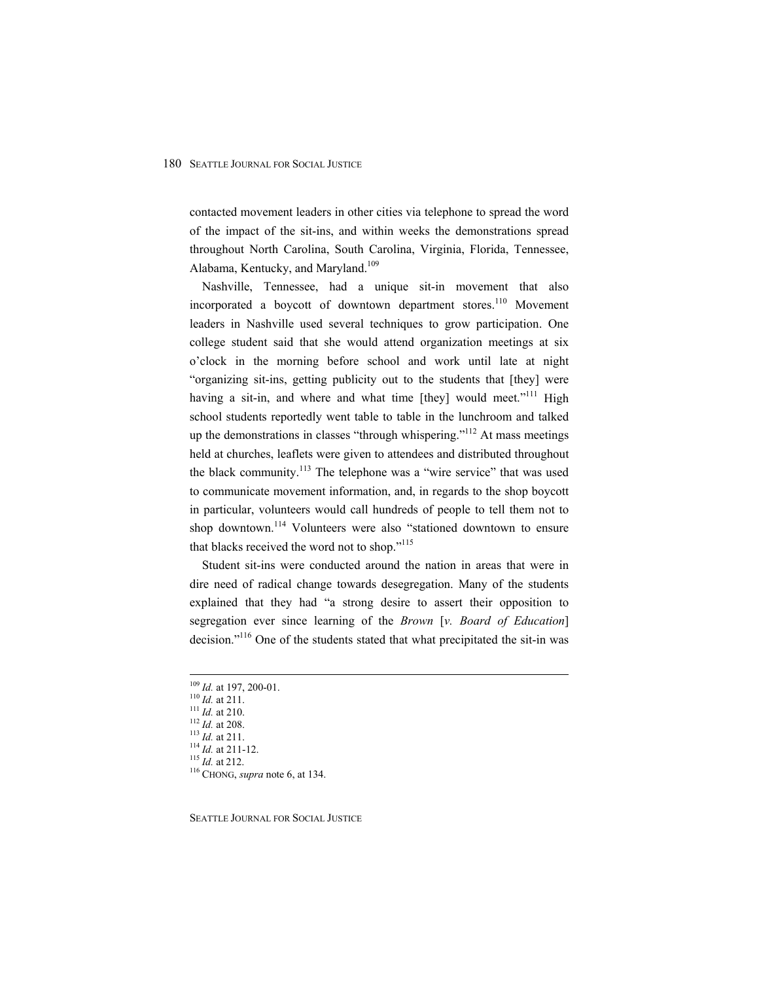contacted movement leaders in other cities via telephone to spread the word of the impact of the sit-ins, and within weeks the demonstrations spread throughout North Carolina, South Carolina, Virginia, Florida, Tennessee, Alabama, Kentucky, and Maryland.<sup>109</sup>

Nashville, Tennessee, had a unique sit-in movement that also incorporated a boycott of downtown department stores.<sup>110</sup> Movement leaders in Nashville used several techniques to grow participation. One college student said that she would attend organization meetings at six o'clock in the morning before school and work until late at night "organizing sit-ins, getting publicity out to the students that [they] were having a sit-in, and where and what time  $[they]$  would meet."<sup>111</sup> High school students reportedly went table to table in the lunchroom and talked up the demonstrations in classes "through whispering."<sup>112</sup> At mass meetings held at churches, leaflets were given to attendees and distributed throughout the black community.<sup>113</sup> The telephone was a "wire service" that was used to communicate movement information, and, in regards to the shop boycott in particular, volunteers would call hundreds of people to tell them not to shop downtown.<sup>114</sup> Volunteers were also "stationed downtown to ensure that blacks received the word not to shop."<sup>115</sup>

Student sit-ins were conducted around the nation in areas that were in dire need of radical change towards desegregation. Many of the students explained that they had "a strong desire to assert their opposition to segregation ever since learning of the *Brown* [*v. Board of Education*] decision."<sup>116</sup> One of the students stated that what precipitated the sit-in was

<sup>109</sup> *Id.* at 197, 200-01.<br>
<sup>110</sup> *Id.* at 211.<br>
<sup>111</sup> *Id.* at 210.<br>
<sup>112</sup> *Id.* at 208.<br>
<sup>113</sup> *Id.* at 211.<br>
<sup>114</sup> *Id.* at 211-12.<br>
<sup>115</sup> *Id.* at 212.<br>
<sup>116</sup> CHONG, *supra* note 6, at 134.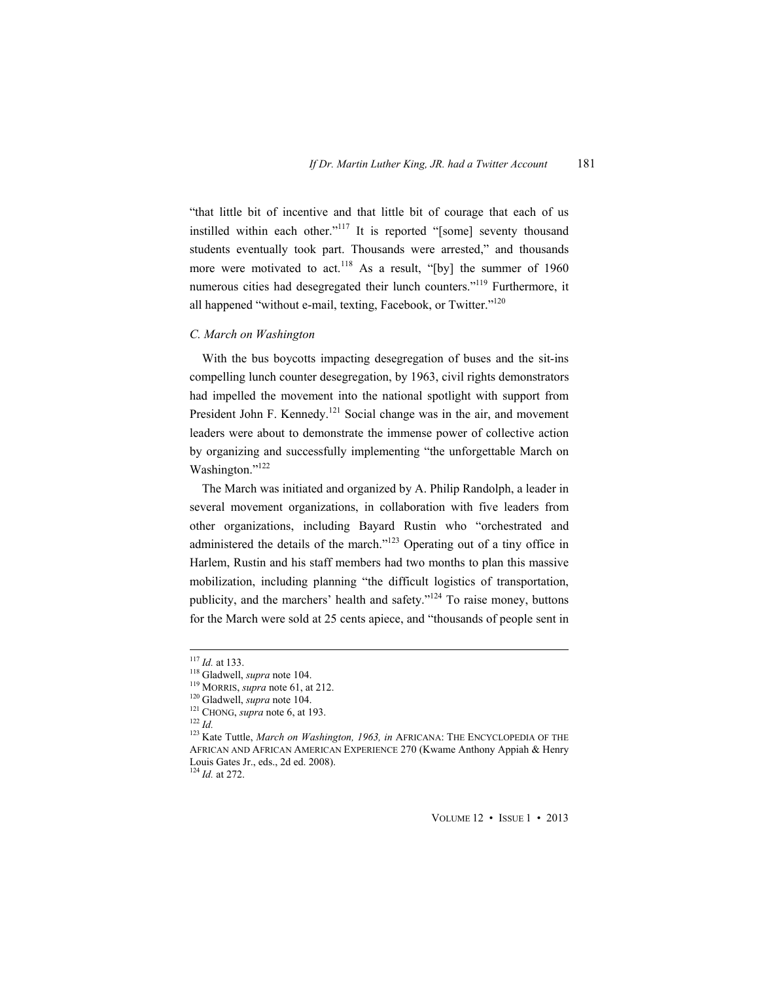"that little bit of incentive and that little bit of courage that each of us instilled within each other."117 It is reported "[some] seventy thousand students eventually took part. Thousands were arrested," and thousands more were motivated to act.<sup>118</sup> As a result, "[by] the summer of 1960 numerous cities had desegregated their lunch counters."<sup>119</sup> Furthermore, it all happened "without e-mail, texting, Facebook, or Twitter."<sup>120</sup>

# *C. March on Washington*

With the bus boycotts impacting desegregation of buses and the sit-ins compelling lunch counter desegregation, by 1963, civil rights demonstrators had impelled the movement into the national spotlight with support from President John F. Kennedy.<sup>121</sup> Social change was in the air, and movement leaders were about to demonstrate the immense power of collective action by organizing and successfully implementing "the unforgettable March on Washington."<sup>122</sup>

The March was initiated and organized by A. Philip Randolph, a leader in several movement organizations, in collaboration with five leaders from other organizations, including Bayard Rustin who "orchestrated and administered the details of the march."<sup>123</sup> Operating out of a tiny office in Harlem, Rustin and his staff members had two months to plan this massive mobilization, including planning "the difficult logistics of transportation, publicity, and the marchers' health and safety."124 To raise money, buttons for the March were sold at 25 cents apiece, and "thousands of people sent in

<sup>&</sup>lt;sup>117</sup> *Id.* at 133.<br><sup>118</sup> Gladwell, *supra* note 104.<br><sup>119</sup> MORRIS, *supra* note 61, at 212.<br><sup>120</sup> Gladwell, *supra* note 104.<br><sup>121</sup> CHONG, *supra* note 6, at 193.<br><sup>122</sup> *Id.*<br><sup>122</sup> Kate Tuttle. *March on Washington, 1963,* AFRICAN AND AFRICAN AMERICAN EXPERIENCE 270 (Kwame Anthony Appiah & Henry Louis Gates Jr., eds., 2d ed. 2008).

<sup>124</sup> *Id.* at 272.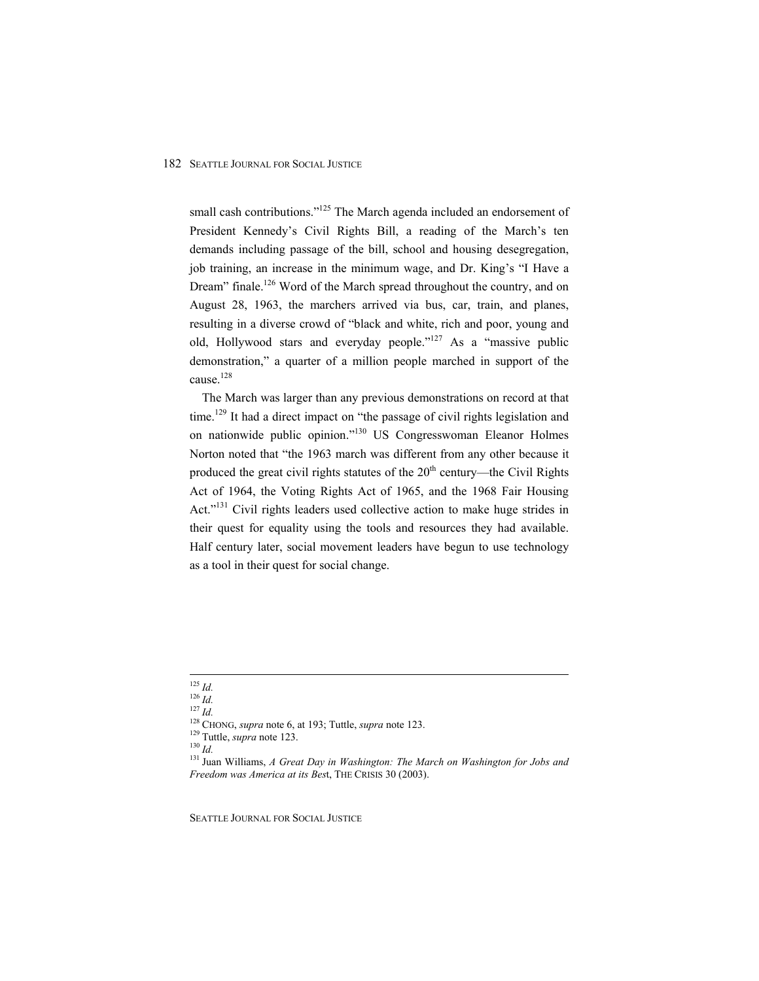small cash contributions."<sup>125</sup> The March agenda included an endorsement of President Kennedy's Civil Rights Bill, a reading of the March's ten demands including passage of the bill, school and housing desegregation, job training, an increase in the minimum wage, and Dr. King's "I Have a Dream" finale.<sup>126</sup> Word of the March spread throughout the country, and on August 28, 1963, the marchers arrived via bus, car, train, and planes, resulting in a diverse crowd of "black and white, rich and poor, young and old, Hollywood stars and everyday people." $127$  As a "massive public demonstration," a quarter of a million people marched in support of the cause.128

The March was larger than any previous demonstrations on record at that time.<sup>129</sup> It had a direct impact on "the passage of civil rights legislation and on nationwide public opinion."130 US Congresswoman Eleanor Holmes Norton noted that "the 1963 march was different from any other because it produced the great civil rights statutes of the  $20<sup>th</sup>$  century—the Civil Rights Act of 1964, the Voting Rights Act of 1965, and the 1968 Fair Housing Act."<sup>131</sup> Civil rights leaders used collective action to make huge strides in their quest for equality using the tools and resources they had available. Half century later, social movement leaders have begun to use technology as a tool in their quest for social change.

<sup>&</sup>lt;sup>125</sup> *Id.*<br><sup>126</sup> *Id.*<br><sup>127</sup> *Id.*<br><sup>128</sup> CHONG, *supra* note 6, at 193; Tuttle, *supra* note 123.<br><sup>129</sup> Tuttle, *supra* note 123.<br><sup>130</sup> *Id.*<br><sup>131</sup> Juan Williams, *A Great Day in Washington: The March on Washington for J Freedom was America at its Bes*t, THE CRISIS 30 (2003).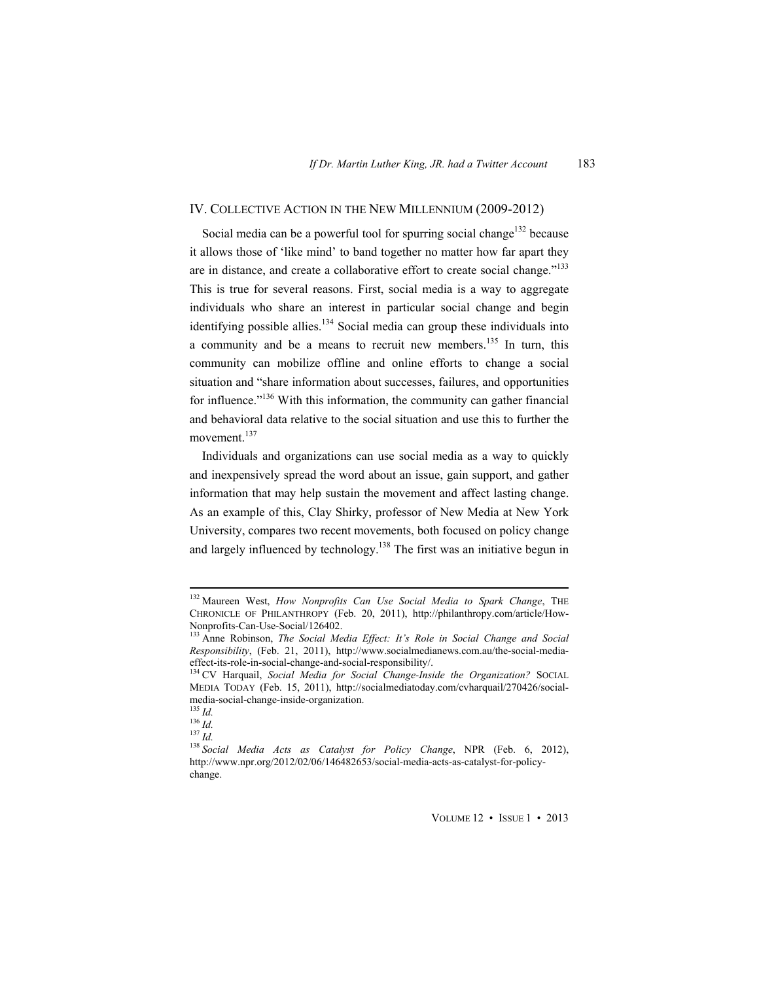# IV. COLLECTIVE ACTION IN THE NEW MILLENNIUM (2009-2012)

Social media can be a powerful tool for spurring social change<sup>132</sup> because it allows those of 'like mind' to band together no matter how far apart they are in distance, and create a collaborative effort to create social change."<sup>133</sup> This is true for several reasons. First, social media is a way to aggregate individuals who share an interest in particular social change and begin identifying possible allies.<sup>134</sup> Social media can group these individuals into a community and be a means to recruit new members.<sup>135</sup> In turn, this community can mobilize offline and online efforts to change a social situation and "share information about successes, failures, and opportunities for influence."<sup>136</sup> With this information, the community can gather financial and behavioral data relative to the social situation and use this to further the movement.<sup>137</sup>

Individuals and organizations can use social media as a way to quickly and inexpensively spread the word about an issue, gain support, and gather information that may help sustain the movement and affect lasting change. As an example of this, Clay Shirky, professor of New Media at New York University, compares two recent movements, both focused on policy change and largely influenced by technology.<sup>138</sup> The first was an initiative begun in

 132 Maureen West, *How Nonprofits Can Use Social Media to Spark Change*, THE CHRONICLE OF PHILANTHROPY (Feb. 20, 2011), http://philanthropy.com/article/How-Nonprofits-Can-Use-Social/126402.

<sup>133</sup> Anne Robinson, *The Social Media Effect: It's Role in Social Change and Social Responsibility*, (Feb. 21, 2011), http://www.socialmedianews.com.au/the-social-mediaeffect-its-role-in-social-change-and-social-responsibility/.

<sup>&</sup>lt;sup>134</sup> CV Harquail, *Social Media for Social Change-Inside the Organization?* SOCIAL MEDIA TODAY (Feb. 15, 2011), http://socialmediatoday.com/cvharquail/270426/socialmedia-social-change-inside-organization.<br> $^{135}$  *Id.* 

<sup>135</sup> *Id.* <sup>136</sup> *Id.* <sup>137</sup> *Id.* <sup>138</sup> *Social Media Acts as Catalyst for Policy Change*, NPR (Feb. 6, 2012), http://www.npr.org/2012/02/06/146482653/social-media-acts-as-catalyst-for-policychange.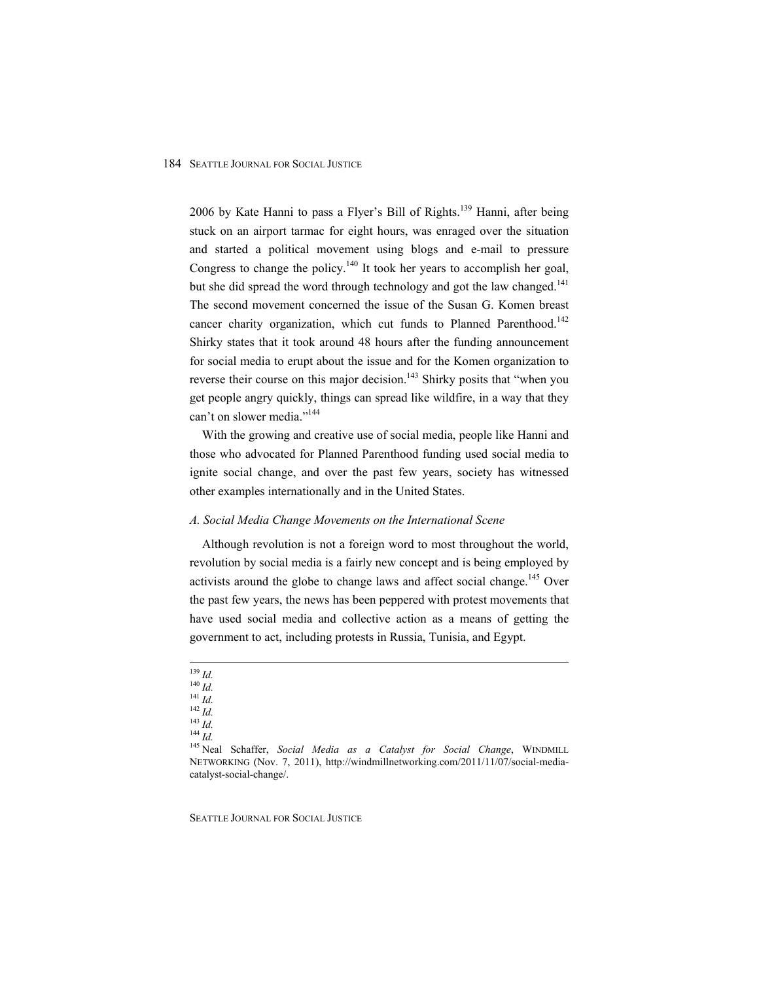2006 by Kate Hanni to pass a Flyer's Bill of Rights.<sup>139</sup> Hanni, after being stuck on an airport tarmac for eight hours, was enraged over the situation and started a political movement using blogs and e-mail to pressure Congress to change the policy.<sup>140</sup> It took her years to accomplish her goal, but she did spread the word through technology and got the law changed.<sup>141</sup> The second movement concerned the issue of the Susan G. Komen breast cancer charity organization, which cut funds to Planned Parenthood.<sup>142</sup> Shirky states that it took around 48 hours after the funding announcement for social media to erupt about the issue and for the Komen organization to reverse their course on this major decision.<sup>143</sup> Shirky posits that "when you get people angry quickly, things can spread like wildfire, in a way that they can't on slower media."<sup>144</sup>

With the growing and creative use of social media, people like Hanni and those who advocated for Planned Parenthood funding used social media to ignite social change, and over the past few years, society has witnessed other examples internationally and in the United States.

# *A. Social Media Change Movements on the International Scene*

Although revolution is not a foreign word to most throughout the world, revolution by social media is a fairly new concept and is being employed by activists around the globe to change laws and affect social change.<sup>145</sup> Over the past few years, the news has been peppered with protest movements that have used social media and collective action as a means of getting the government to act, including protests in Russia, Tunisia, and Egypt.

 <sup>139</sup> *Id.* <sup>140</sup> *Id.* <sup>141</sup> *Id.* <sup>142</sup> *Id.* <sup>143</sup> *Id.* <sup>144</sup> *Id.* 145 Neal Schaffer, *Social Media as a Catalyst for Social Change*, WINDMILL NETWORKING (Nov. 7, 2011), http://windmillnetworking.com/2011/11/07/social-mediacatalyst-social-change/.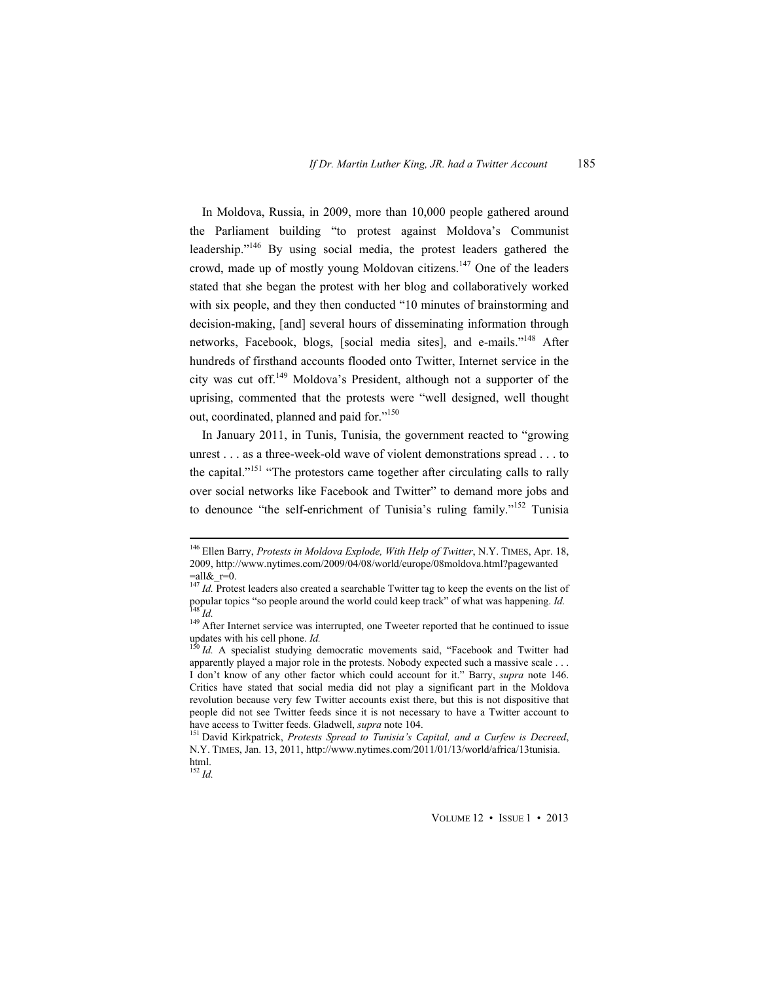In Moldova, Russia, in 2009, more than 10,000 people gathered around the Parliament building "to protest against Moldova's Communist leadership."146 By using social media, the protest leaders gathered the crowd, made up of mostly young Moldovan citizens.<sup>147</sup> One of the leaders stated that she began the protest with her blog and collaboratively worked with six people, and they then conducted "10 minutes of brainstorming and decision-making, [and] several hours of disseminating information through networks, Facebook, blogs, [social media sites], and e-mails."<sup>148</sup> After hundreds of firsthand accounts flooded onto Twitter, Internet service in the city was cut off.<sup>149</sup> Moldova's President, although not a supporter of the uprising, commented that the protests were "well designed, well thought out, coordinated, planned and paid for."<sup>150</sup>

In January 2011, in Tunis, Tunisia, the government reacted to "growing unrest . . . as a three-week-old wave of violent demonstrations spread . . . to the capital."<sup>151</sup> "The protestors came together after circulating calls to rally over social networks like Facebook and Twitter" to demand more jobs and to denounce "the self-enrichment of Tunisia's ruling family."152 Tunisia

 146 Ellen Barry, *Protests in Moldova Explode, With Help of Twitter*, N.Y. TIMES, Apr. 18, 2009, http://www.nytimes.com/2009/04/08/world/europe/08moldova.html?pagewanted  $=$ all $\&$ r=0.

<sup>&</sup>lt;sup>147</sup> Id. Protest leaders also created a searchable Twitter tag to keep the events on the list of popular topics "so people around the world could keep track" of what was happening. *Id.* <sup>148</sup> *Id.* <sup>149</sup> After Internet service was interrupted, one Tweeter reported that he continued to issue

updates with his cell phone. *Id.* 150 *Id.* A specialist studying democratic movements said, "Facebook and Twitter had

apparently played a major role in the protests. Nobody expected such a massive scale . . . I don't know of any other factor which could account for it." Barry, *supra* note 146. Critics have stated that social media did not play a significant part in the Moldova revolution because very few Twitter accounts exist there, but this is not dispositive that people did not see Twitter feeds since it is not necessary to have a Twitter account to have access to Twitter feeds. Gladwell, *supra* note 104.<br><sup>151</sup> David Kirkpatrick, *Protests Spread to Tunisia's Capital, and a Curfew is Decreed*,

N.Y. TIMES, Jan. 13, 2011, http://www.nytimes.com/2011/01/13/world/africa/13tunisia. html.

<sup>152</sup> *Id.*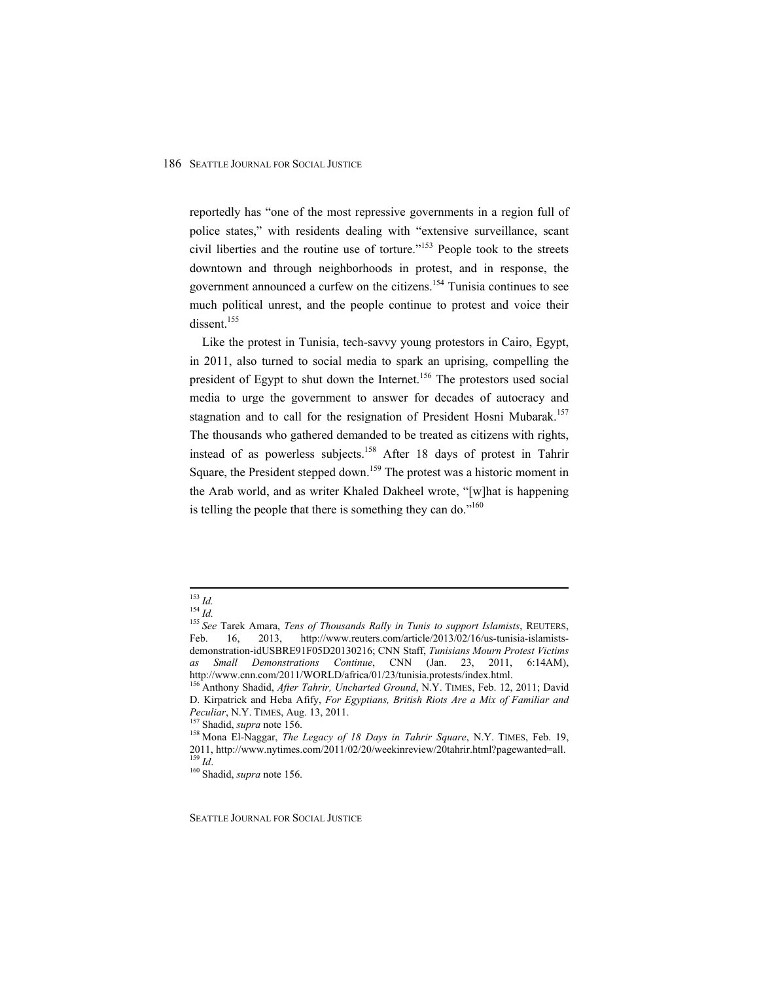reportedly has "one of the most repressive governments in a region full of police states," with residents dealing with "extensive surveillance, scant civil liberties and the routine use of torture."153 People took to the streets downtown and through neighborhoods in protest, and in response, the government announced a curfew on the citizens.<sup>154</sup> Tunisia continues to see much political unrest, and the people continue to protest and voice their dissent.<sup>155</sup>

Like the protest in Tunisia, tech-savvy young protestors in Cairo, Egypt, in 2011, also turned to social media to spark an uprising, compelling the president of Egypt to shut down the Internet.<sup>156</sup> The protestors used social media to urge the government to answer for decades of autocracy and stagnation and to call for the resignation of President Hosni Mubarak.<sup>157</sup> The thousands who gathered demanded to be treated as citizens with rights, instead of as powerless subjects.<sup>158</sup> After 18 days of protest in Tahrir Square, the President stepped down.<sup>159</sup> The protest was a historic moment in the Arab world, and as writer Khaled Dakheel wrote, "[w]hat is happening is telling the people that there is something they can do."<sup>160</sup>

 <sup>153</sup> *Id.* <sup>154</sup> *Id.* <sup>155</sup> *See* Tarek Amara, *Tens of Thousands Rally in Tunis to support Islamists*, REUTERS, Feb. 16, 2013, http://www.reuters.com/article/2013/02/16/us-tunisia-islamistsdemonstration-idUSBRE91F05D20130216; CNN Staff, *Tunisians Mourn Protest Victims as Small Demonstrations Continue*, CNN (Jan. 23, 2011, 6:14AM), http://www.cnn.com/2011/WORLD/africa/01/23/tunisia.protests/index.html.<br><sup>156</sup> Anthony Shadid, *After Tahrir, Uncharted Ground*, N.Y. TIMES, Feb. 12, 2011; David

D. Kirpatrick and Heba Afify, *For Egyptians, British Riots Are a Mix of Familiar and Peculiar*, N.Y. TIMES, Aug. 13, 2011.<br><sup>157</sup> Shadid, *supra* note 156. 158 Mona El-Naggar, *The Legacy of 18 Days in Tahrir Square*, N.Y. TIMES, Feb. 19,

<sup>2011,</sup> http://www.nytimes.com/2011/02/20/weekinreview/20tahrir.html?pagewanted=all. 159 *Id*. 160 Shadid, *supra* note 156.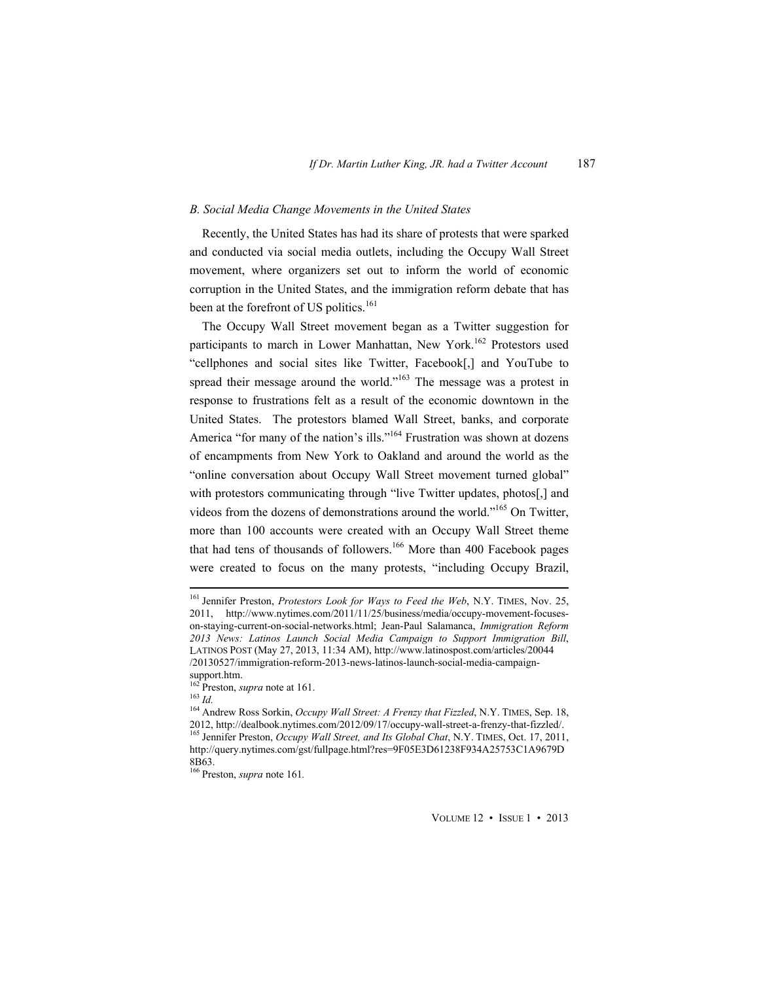## *B. Social Media Change Movements in the United States*

Recently, the United States has had its share of protests that were sparked and conducted via social media outlets, including the Occupy Wall Street movement, where organizers set out to inform the world of economic corruption in the United States, and the immigration reform debate that has been at the forefront of US politics.<sup>161</sup>

The Occupy Wall Street movement began as a Twitter suggestion for participants to march in Lower Manhattan, New York.<sup>162</sup> Protestors used "cellphones and social sites like Twitter, Facebook[,] and YouTube to spread their message around the world."<sup>163</sup> The message was a protest in response to frustrations felt as a result of the economic downtown in the United States. The protestors blamed Wall Street, banks, and corporate America "for many of the nation's ills."<sup>164</sup> Frustration was shown at dozens of encampments from New York to Oakland and around the world as the "online conversation about Occupy Wall Street movement turned global" with protestors communicating through "live Twitter updates, photos[,] and videos from the dozens of demonstrations around the world."165 On Twitter, more than 100 accounts were created with an Occupy Wall Street theme that had tens of thousands of followers.<sup>166</sup> More than 400 Facebook pages were created to focus on the many protests, "including Occupy Brazil,

 161 Jennifer Preston, *Protestors Look for Ways to Feed the Web*, N.Y. TIMES, Nov. 25, 2011, http://www.nytimes.com/2011/11/25/business/media/occupy-movement-focuseson-staying-current-on-social-networks.html; Jean-Paul Salamanca, *Immigration Reform 2013 News: Latinos Launch Social Media Campaign to Support Immigration Bill*, LATINOS POST (May 27, 2013, 11:34 AM), http://www.latinospost.com/articles/20044 /20130527/immigration-reform-2013-news-latinos-launch-social-media-campaign-

support.htm.<br><sup>162</sup> Preston, *supra* note at 161.

<sup>&</sup>lt;sup>163</sup> Id.<br><sup>164</sup> Andrew Ross Sorkin, *Occupy Wall Street: A Frenzy that Fizzled*, N.Y. TIMES, Sep. 18, 2012, http://dealbook.nytimes.com/2012/09/17/occupy-wall-street-a-frenzy-that-fizzled/. 165 Jennifer Preston, *Occupy Wall Street, and Its Global Chat*, N.Y. TIMES, Oct. 17, 2011, http://query.nytimes.com/gst/fullpage.html?res=9F05E3D61238F934A25753C1A9679D 8B63.

<sup>166</sup> Preston, *supra* note 161*.*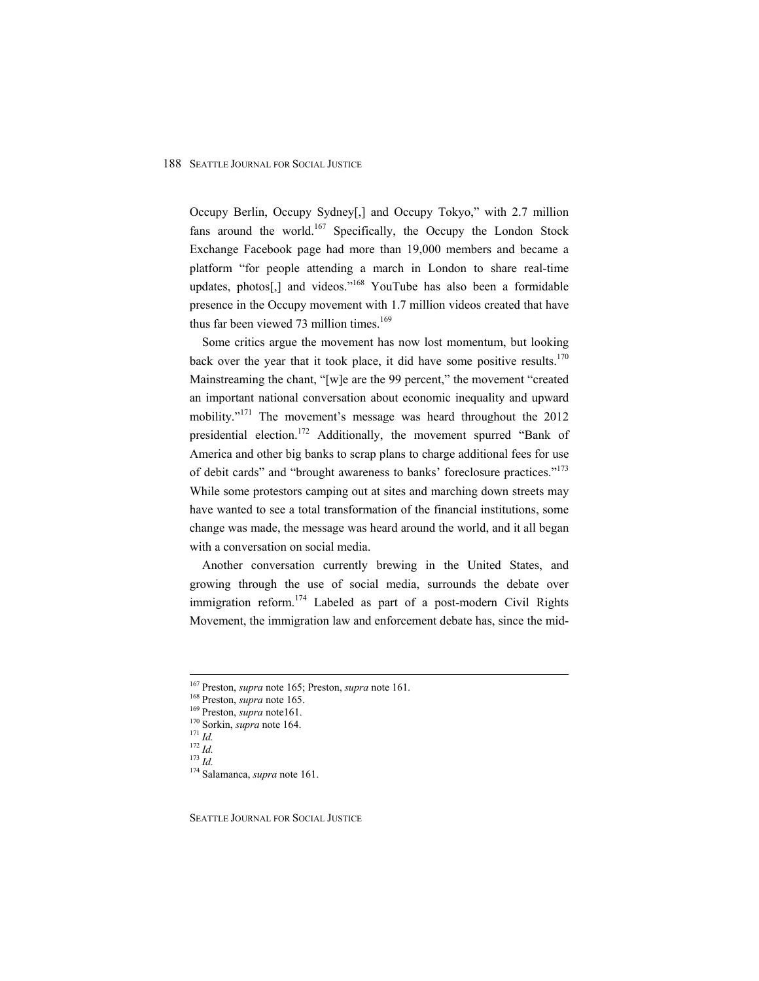Occupy Berlin, Occupy Sydney[,] and Occupy Tokyo," with 2.7 million fans around the world.<sup>167</sup> Specifically, the Occupy the London Stock Exchange Facebook page had more than 19,000 members and became a platform "for people attending a march in London to share real-time updates, photos[,] and videos."<sup>168</sup> YouTube has also been a formidable presence in the Occupy movement with 1.7 million videos created that have thus far been viewed 73 million times.<sup>169</sup>

Some critics argue the movement has now lost momentum, but looking back over the year that it took place, it did have some positive results.<sup>170</sup> Mainstreaming the chant, "[w]e are the 99 percent," the movement "created an important national conversation about economic inequality and upward mobility."<sup>171</sup> The movement's message was heard throughout the 2012 presidential election.<sup>172</sup> Additionally, the movement spurred "Bank of America and other big banks to scrap plans to charge additional fees for use of debit cards" and "brought awareness to banks' foreclosure practices."<sup>173</sup> While some protestors camping out at sites and marching down streets may have wanted to see a total transformation of the financial institutions, some change was made, the message was heard around the world, and it all began with a conversation on social media.

Another conversation currently brewing in the United States, and growing through the use of social media, surrounds the debate over immigration reform.<sup>174</sup> Labeled as part of a post-modern Civil Rights Movement, the immigration law and enforcement debate has, since the mid-

<sup>&</sup>lt;sup>167</sup> Preston, *supra* note 165; Preston, *supra* note 161.<br><sup>168</sup> Preston, *supra* note 165.<br><sup>169</sup> Preston, *supra* note 161.<br><sup>170</sup> Sorkin, *supra* note 164.<br><sup>171</sup> Id.<br><sup>171</sup> Id.<br><sup>172</sup> Id.<br><sup>173</sup> Id.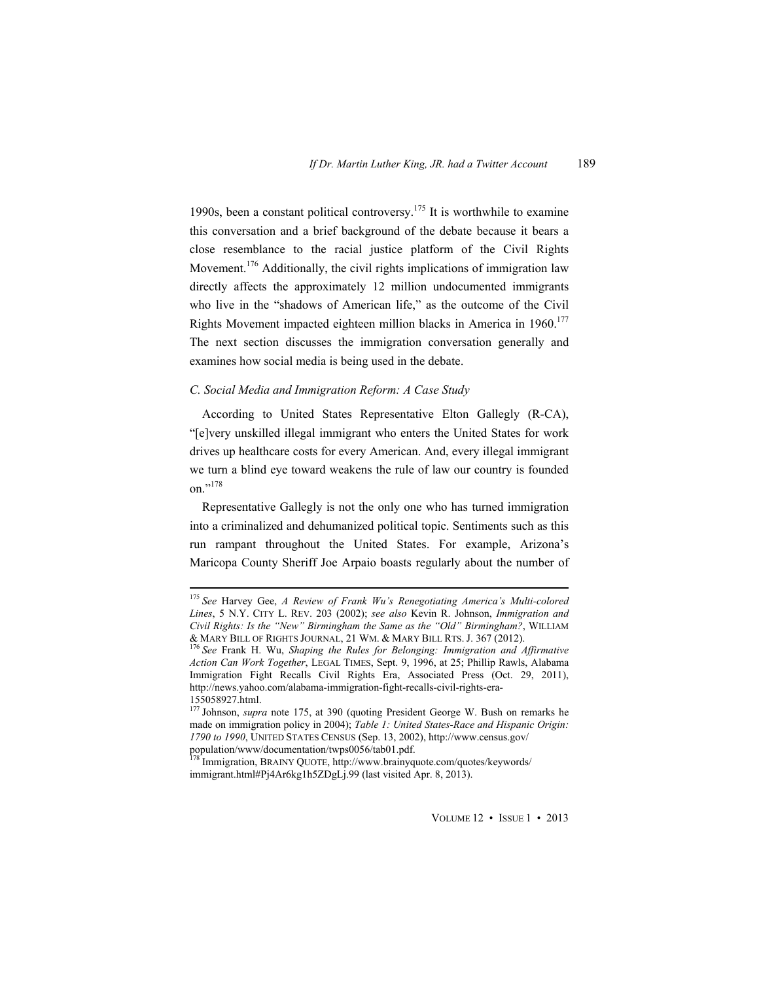1990s, been a constant political controversy.175 It is worthwhile to examine this conversation and a brief background of the debate because it bears a close resemblance to the racial justice platform of the Civil Rights Movement.<sup>176</sup> Additionally, the civil rights implications of immigration law directly affects the approximately 12 million undocumented immigrants who live in the "shadows of American life," as the outcome of the Civil Rights Movement impacted eighteen million blacks in America in 1960.<sup>177</sup> The next section discusses the immigration conversation generally and examines how social media is being used in the debate.

# *C. Social Media and Immigration Reform: A Case Study*

According to United States Representative Elton Gallegly (R-CA), "[e]very unskilled illegal immigrant who enters the United States for work drives up healthcare costs for every American. And, every illegal immigrant we turn a blind eye toward weakens the rule of law our country is founded on<sup>",178</sup>

Representative Gallegly is not the only one who has turned immigration into a criminalized and dehumanized political topic. Sentiments such as this run rampant throughout the United States. For example, Arizona's Maricopa County Sheriff Joe Arpaio boasts regularly about the number of

 <sup>175</sup> *See* Harvey Gee, *A Review of Frank Wu's Renegotiating America's Multi-colored Lines*, 5 N.Y. CITY L. REV. 203 (2002); *see also* Kevin R. Johnson, *Immigration and Civil Rights: Is the "New" Birmingham the Same as the "Old" Birmingham?*, WILLIAM & MARY BILL OF RIGHTS JOURNAL, 21 WM. & MARY BILL RTS. J. 367 (2012). 176 *See* Frank H. Wu, *Shaping the Rules for Belonging: Immigration and Affirmative* 

*Action Can Work Together*, LEGAL TIMES, Sept. 9, 1996, at 25; Phillip Rawls, Alabama Immigration Fight Recalls Civil Rights Era, Associated Press (Oct. 29, 2011), http://news.yahoo.com/alabama-immigration-fight-recalls-civil-rights-era-155058927.html.

<sup>&</sup>lt;sup>177</sup> Johnson, *supra* note 175, at 390 (quoting President George W. Bush on remarks he made on immigration policy in 2004); *Table 1: United States-Race and Hispanic Origin: 1790 to 1990*, UNITED STATES CENSUS (Sep. 13, 2002), http://www.census.gov/ population/www/documentation/twps0056/tab01.pdf. 178 Immigration, BRAINY QUOTE, http://www.brainyquote.com/quotes/keywords/

immigrant.html#Pj4Ar6kg1h5ZDgLj.99 (last visited Apr. 8, 2013).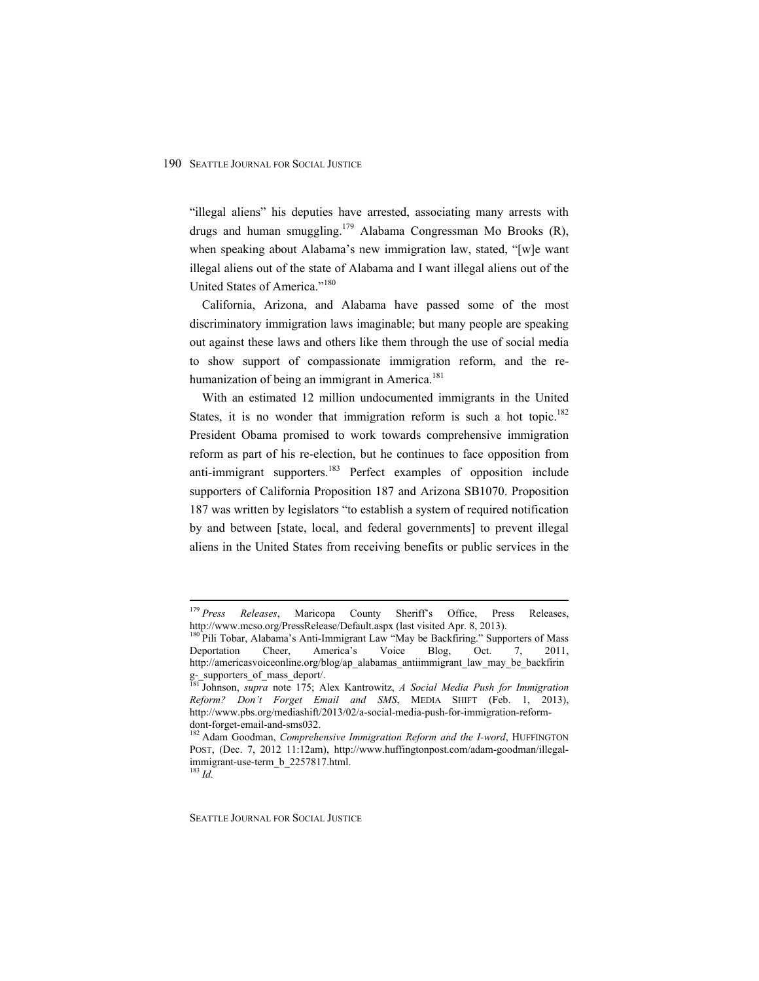"illegal aliens" his deputies have arrested, associating many arrests with drugs and human smuggling.<sup>179</sup> Alabama Congressman Mo Brooks  $(R)$ , when speaking about Alabama's new immigration law, stated, "[w]e want illegal aliens out of the state of Alabama and I want illegal aliens out of the United States of America."180

California, Arizona, and Alabama have passed some of the most discriminatory immigration laws imaginable; but many people are speaking out against these laws and others like them through the use of social media to show support of compassionate immigration reform, and the rehumanization of being an immigrant in America. $181$ 

With an estimated 12 million undocumented immigrants in the United States, it is no wonder that immigration reform is such a hot topic.<sup>182</sup> President Obama promised to work towards comprehensive immigration reform as part of his re-election, but he continues to face opposition from anti-immigrant supporters.<sup>183</sup> Perfect examples of opposition include supporters of California Proposition 187 and Arizona SB1070. Proposition 187 was written by legislators "to establish a system of required notification by and between [state, local, and federal governments] to prevent illegal aliens in the United States from receiving benefits or public services in the

 <sup>179</sup> *Press Releases*, Maricopa County Sheriff's Office, Press Releases, http://www.mcso.org/PressRelease/Default.aspx (last visited Apr. 8, 2013).

<sup>&</sup>lt;sup>180</sup> Pili Tobar, Alabama's Anti-Immigrant Law "May be Backfiring." Supporters of Mass Deportation Cheer, America's Voice Blog, Oct. 7, 2011, http://americasvoiceonline.org/blog/ap\_alabamas\_antiimmigrant\_law\_may\_be\_backfirin g-\_supporters\_of\_mass\_deport/.

<sup>181</sup> Johnson, *supra* note 175; Alex Kantrowitz, *A Social Media Push for Immigration Reform? Don't Forget Email and SMS*, MEDIA SHIFT (Feb. 1, 2013), http://www.pbs.org/mediashift/2013/02/a-social-media-push-for-immigration-reformdont-forget-email-and-sms032.

<sup>182</sup> Adam Goodman, *Comprehensive Immigration Reform and the I-word*, HUFFINGTON POST, (Dec. 7, 2012 11:12am), http://www.huffingtonpost.com/adam-goodman/illegalimmigrant-use-term\_b\_2257817.html.

<sup>183</sup> *Id.*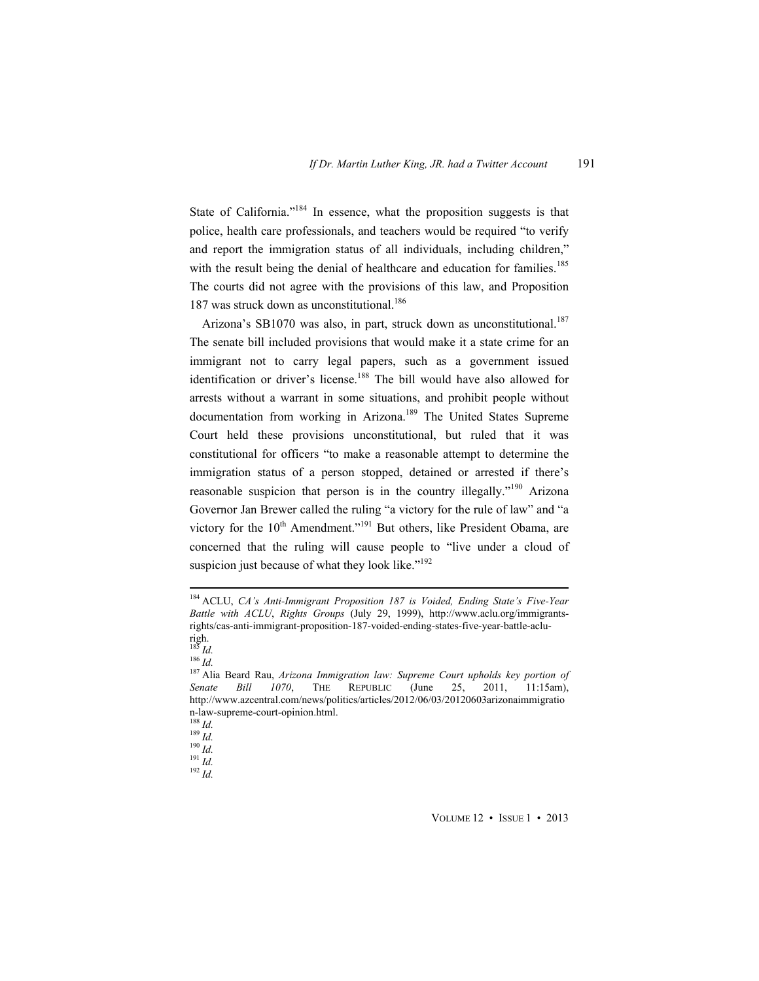State of California."<sup>184</sup> In essence, what the proposition suggests is that police, health care professionals, and teachers would be required "to verify and report the immigration status of all individuals, including children," with the result being the denial of healthcare and education for families.<sup>185</sup> The courts did not agree with the provisions of this law, and Proposition 187 was struck down as unconstitutional.<sup>186</sup>

Arizona's SB1070 was also, in part, struck down as unconstitutional.<sup>187</sup> The senate bill included provisions that would make it a state crime for an immigrant not to carry legal papers, such as a government issued identification or driver's license.<sup>188</sup> The bill would have also allowed for arrests without a warrant in some situations, and prohibit people without documentation from working in Arizona.<sup>189</sup> The United States Supreme Court held these provisions unconstitutional, but ruled that it was constitutional for officers "to make a reasonable attempt to determine the immigration status of a person stopped, detained or arrested if there's reasonable suspicion that person is in the country illegally."<sup>190</sup> Arizona Governor Jan Brewer called the ruling "a victory for the rule of law" and "a victory for the  $10^{th}$  Amendment."<sup>191</sup> But others, like President Obama, are concerned that the ruling will cause people to "live under a cloud of suspicion just because of what they look like."<sup>192</sup>

 184 ACLU, *CA's Anti-Immigrant Proposition 187 is Voided, Ending State's Five-Year Battle with ACLU*, *Rights Groups* (July 29, 1999), http://www.aclu.org/immigrantsrights/cas-anti-immigrant-proposition-187-voided-ending-states-five-year-battle-aclu-

righ.<br> $185$  *Id.* 

<sup>&</sup>lt;sup>185</sup> Id.<br><sup>186</sup> Id.<br><sup>187</sup> Alia Beard Rau, *Arizona Immigration law: Supreme Court upholds key portion of Senate Bill 1070*, THE REPUBLIC (June 25, 2011, 11:15am), http://www.azcentral.com/news/politics/articles/2012/06/03/20120603arizonaimmigratio n-law-supreme-court-opinion.html.<br> $^{188}$  *Id.* 

<sup>188</sup> *Id.* 189 *Id.* 190 *Id.* 191 *Id.* 192 *Id.*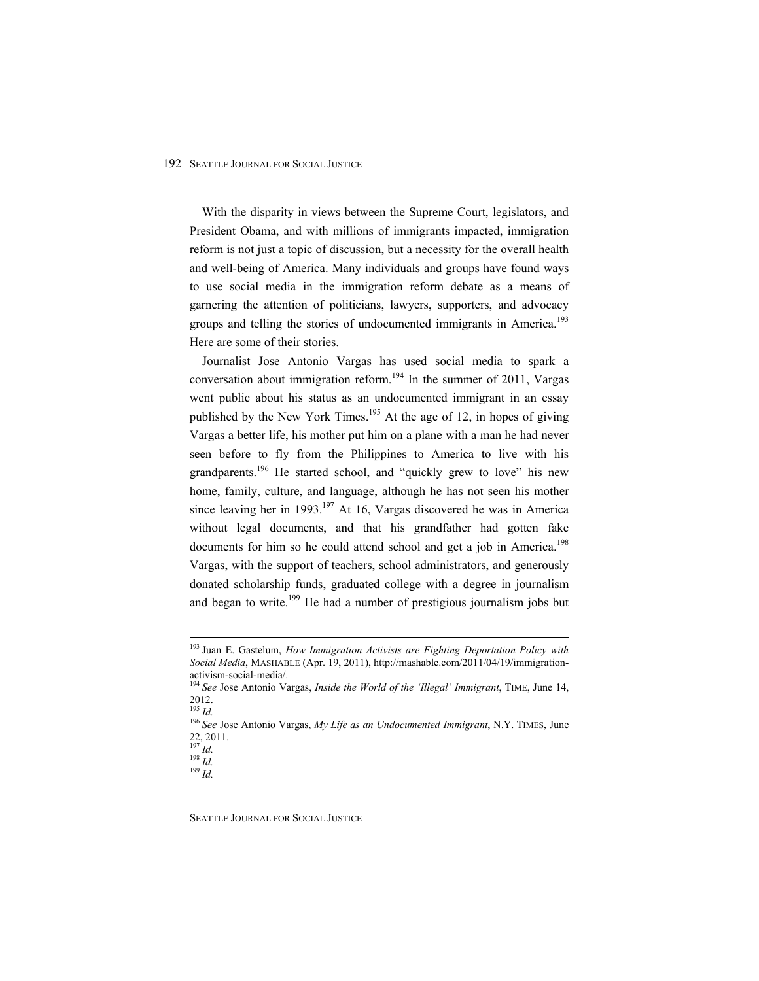With the disparity in views between the Supreme Court, legislators, and President Obama, and with millions of immigrants impacted, immigration reform is not just a topic of discussion, but a necessity for the overall health and well-being of America. Many individuals and groups have found ways to use social media in the immigration reform debate as a means of garnering the attention of politicians, lawyers, supporters, and advocacy groups and telling the stories of undocumented immigrants in America.<sup>193</sup> Here are some of their stories.

Journalist Jose Antonio Vargas has used social media to spark a conversation about immigration reform.<sup>194</sup> In the summer of 2011, Vargas went public about his status as an undocumented immigrant in an essay published by the New York Times.<sup>195</sup> At the age of 12, in hopes of giving Vargas a better life, his mother put him on a plane with a man he had never seen before to fly from the Philippines to America to live with his grandparents.<sup>196</sup> He started school, and "quickly grew to love" his new home, family, culture, and language, although he has not seen his mother since leaving her in 1993.<sup>197</sup> At 16, Vargas discovered he was in America without legal documents, and that his grandfather had gotten fake documents for him so he could attend school and get a job in America.<sup>198</sup> Vargas, with the support of teachers, school administrators, and generously donated scholarship funds, graduated college with a degree in journalism and began to write.<sup>199</sup> He had a number of prestigious journalism jobs but

 193 Juan E. Gastelum, *How Immigration Activists are Fighting Deportation Policy with Social Media*, MASHABLE (Apr. 19, 2011), http://mashable.com/2011/04/19/immigrationactivism-social-media/.

<sup>194</sup> *See* Jose Antonio Vargas, *Inside the World of the 'Illegal' Immigrant*, TIME, June 14,  $\begin{array}{c} 2012. \\ {}^{195}Id. \end{array}$ 

<sup>195</sup> *Id.* <sup>196</sup> *See* Jose Antonio Vargas, *My Life as an Undocumented Immigrant*, N.Y. TIMES, June  $^{22}_{^{197}}$ , 2011.

<sup>197</sup> *Id.* 198 *Id.* 199 *Id.*

SEATTLE JOURNAL FOR SOCIAL JUSTICE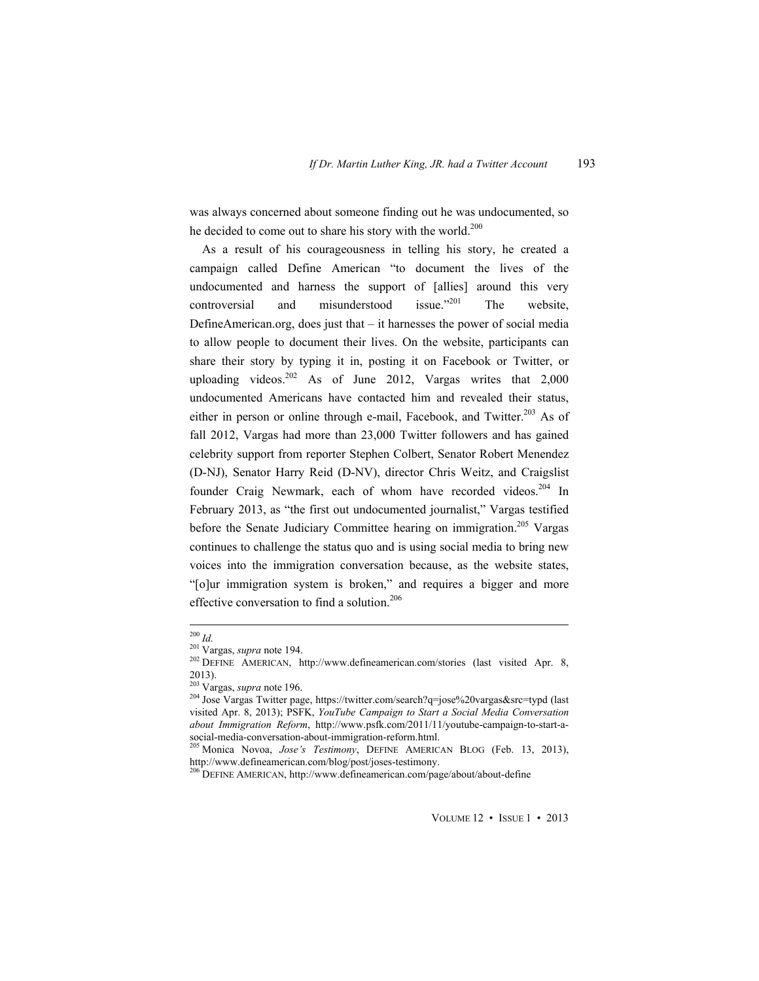was always concerned about someone finding out he was undocumented, so he decided to come out to share his story with the world.<sup>200</sup>

As a result of his courageousness in telling his story, he created a campaign called Define American "to document the lives of the undocumented and harness the support of [allies] around this very controversial and misunderstood issue."<sup>201</sup> The website, DefineAmerican.org, does just that – it harnesses the power of social media to allow people to document their lives. On the website, participants can share their story by typing it in, posting it on Facebook or Twitter, or uploading videos.<sup>202</sup> As of June 2012, Vargas writes that  $2,000$ undocumented Americans have contacted him and revealed their status, either in person or online through e-mail, Facebook, and Twitter.<sup>203</sup> As of fall 2012, Vargas had more than 23,000 Twitter followers and has gained celebrity support from reporter Stephen Colbert, Senator Robert Menendez (D-NJ), Senator Harry Reid (D-NV), director Chris Weitz, and Craigslist founder Craig Newmark, each of whom have recorded videos.<sup>204</sup> In February 2013, as "the first out undocumented journalist," Vargas testified before the Senate Judiciary Committee hearing on immigration.<sup>205</sup> Vargas continues to challenge the status quo and is using social media to bring new voices into the immigration conversation because, as the website states, "[o]ur immigration system is broken," and requires a bigger and more effective conversation to find a solution.<sup>206</sup>

<sup>&</sup>lt;sup>200</sup> *Id.* <sup>201</sup> Vargas, *supra* note 194.<br><sup>202</sup> DEFINE AMERICAN, http://www.defineamerican.com/stories (last visited Apr. 8, 2013).<br><sup>203</sup> Vargas, *supra* note 196.

<sup>&</sup>lt;sup>204</sup> Jose Vargas Twitter page, https://twitter.com/search?q=jose%20vargas&src=typd (last visited Apr. 8, 2013); PSFK, *YouTube Campaign to Start a Social Media Conversation about Immigration Reform*, http://www.psfk.com/2011/11/youtube-campaign-to-start-asocial-media-conversation-about-immigration-reform.html.

<sup>205</sup> Monica Novoa, *Jose's Testimony*, DEFINE AMERICAN BLOG (Feb. 13, 2013), http://www.defineamerican.com/blog/post/joses-testimony.<br><sup>206</sup> DEFINE AMERICAN, http://www.defineamerican.com/page/about/about-define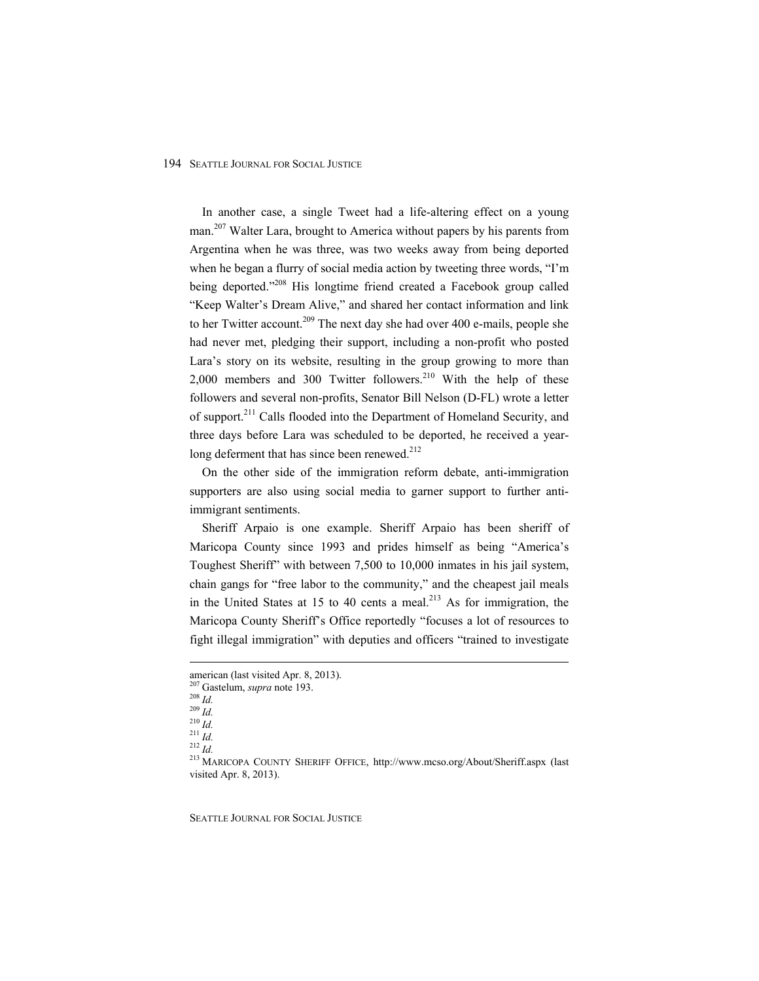In another case, a single Tweet had a life-altering effect on a young man.<sup>207</sup> Walter Lara, brought to America without papers by his parents from Argentina when he was three, was two weeks away from being deported when he began a flurry of social media action by tweeting three words, "I'm being deported."<sup>208</sup> His longtime friend created a Facebook group called "Keep Walter's Dream Alive," and shared her contact information and link to her Twitter account.<sup>209</sup> The next day she had over 400 e-mails, people she had never met, pledging their support, including a non-profit who posted Lara's story on its website, resulting in the group growing to more than  $2,000$  members and 300 Twitter followers.<sup>210</sup> With the help of these followers and several non-profits, Senator Bill Nelson (D-FL) wrote a letter of support.<sup>211</sup> Calls flooded into the Department of Homeland Security, and three days before Lara was scheduled to be deported, he received a yearlong deferment that has since been renewed.<sup>212</sup>

On the other side of the immigration reform debate, anti-immigration supporters are also using social media to garner support to further antiimmigrant sentiments.

Sheriff Arpaio is one example. Sheriff Arpaio has been sheriff of Maricopa County since 1993 and prides himself as being "America's Toughest Sheriff" with between 7,500 to 10,000 inmates in his jail system, chain gangs for "free labor to the community," and the cheapest jail meals in the United States at 15 to 40 cents a meal.<sup>213</sup> As for immigration, the Maricopa County Sheriff's Office reportedly "focuses a lot of resources to fight illegal immigration" with deputies and officers "trained to investigate

american (last visited Apr. 8, 2013).<br><sup>207</sup> Gastelum, *supra* note 193.

<sup>208</sup> *Id.* 209 *Id.* 209 *Id.* 209 *Id.* 200 *Id.* 200 *Id.* 211 *Id.* 211 *Id.* 212 *Id.* 212 *Id.* 213 *MARICOPA COUNTY SHERIFF OFFICE, http://www.mcso.org/About/Sheriff.aspx (last* visited Apr. 8, 2013).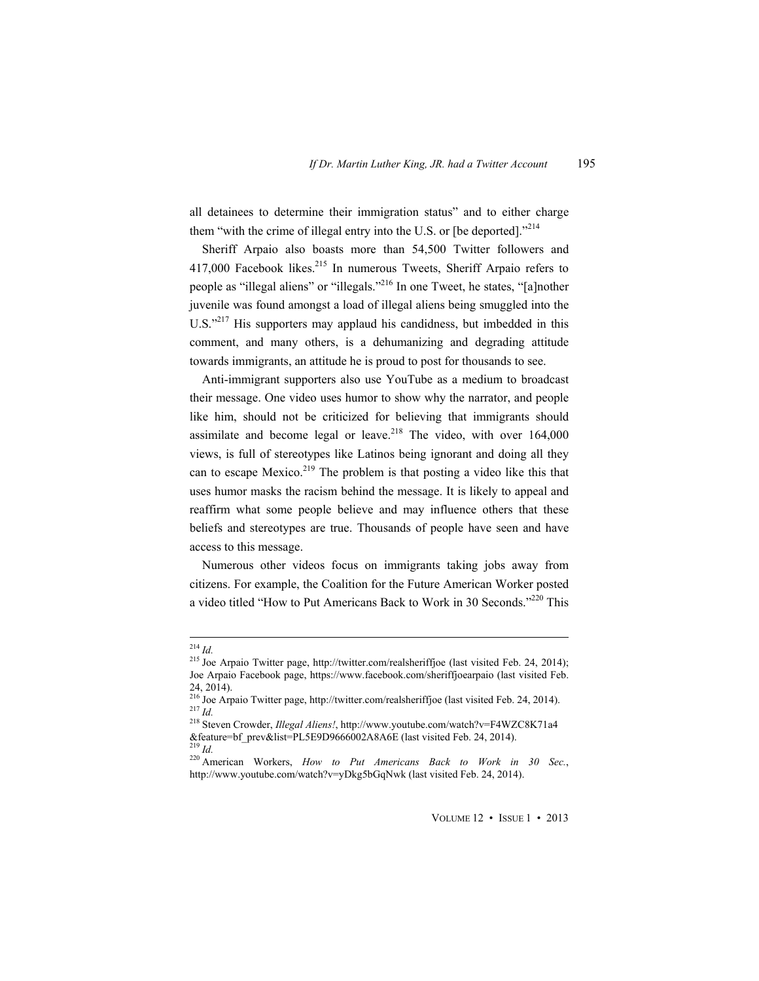all detainees to determine their immigration status" and to either charge them "with the crime of illegal entry into the U.S. or [be deported]."<sup>214</sup>

Sheriff Arpaio also boasts more than 54,500 Twitter followers and 417,000 Facebook likes.<sup>215</sup> In numerous Tweets, Sheriff Arpaio refers to people as "illegal aliens" or "illegals."216 In one Tweet, he states, "[a]nother juvenile was found amongst a load of illegal aliens being smuggled into the U.S."<sup>217</sup> His supporters may applaud his candidness, but imbedded in this comment, and many others, is a dehumanizing and degrading attitude towards immigrants, an attitude he is proud to post for thousands to see.

Anti-immigrant supporters also use YouTube as a medium to broadcast their message. One video uses humor to show why the narrator, and people like him, should not be criticized for believing that immigrants should assimilate and become legal or leave.<sup>218</sup> The video, with over  $164,000$ views, is full of stereotypes like Latinos being ignorant and doing all they can to escape Mexico.<sup>219</sup> The problem is that posting a video like this that uses humor masks the racism behind the message. It is likely to appeal and reaffirm what some people believe and may influence others that these beliefs and stereotypes are true. Thousands of people have seen and have access to this message.

Numerous other videos focus on immigrants taking jobs away from citizens. For example, the Coalition for the Future American Worker posted a video titled "How to Put Americans Back to Work in 30 Seconds."220 This

<sup>&</sup>lt;sup>214</sup> *Id.* 215 *Id.* 215 *Id.* 215 *Id.* 215 *Id.* 215 *Id.* 215 *Id.* 215 *Id.* 215 *Id.* 215 *Id.* 2014); Joe Arpaio Facebook page, https://www.facebook.com/sheriffjoearpaio (last visited Feb.

<sup>24, 2014).&</sup>lt;br><sup>216</sup> Joe Arpaio Twitter page, http://twitter.com/realsheriffjoe (last visited Feb. 24, 2014). 217 *Id.* 218 Steven Crowder, *Illegal Aliens!*, http://www.youtube.com/watch?v=F4WZC8K71a4

<sup>&</sup>amp;feature=bf\_prev&list=PL5E9D9666002A8A6E (last visited Feb. 24, 2014).<br><sup>219</sup> Id.

<sup>&</sup>lt;sup>220</sup> American Workers, *How to Put Americans Back to Work in 30 Sec.*, http://www.youtube.com/watch?v=yDkg5bGqNwk (last visited Feb. 24, 2014).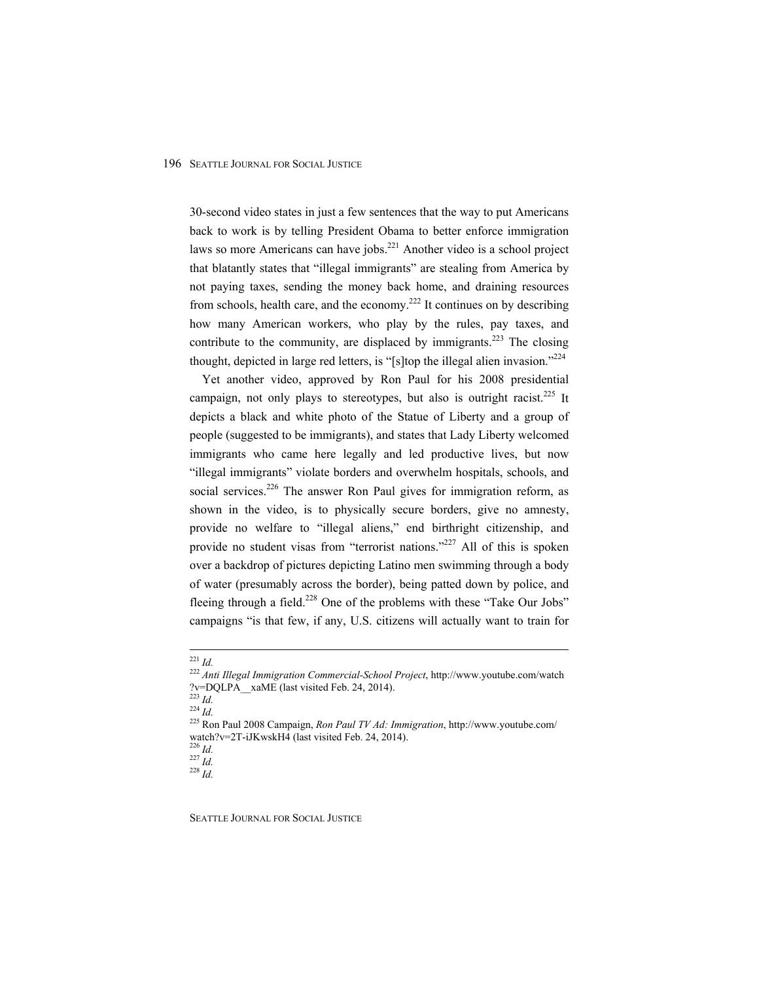30-second video states in just a few sentences that the way to put Americans back to work is by telling President Obama to better enforce immigration laws so more Americans can have jobs.<sup>221</sup> Another video is a school project that blatantly states that "illegal immigrants" are stealing from America by not paying taxes, sending the money back home, and draining resources from schools, health care, and the economy.<sup>222</sup> It continues on by describing how many American workers, who play by the rules, pay taxes, and contribute to the community, are displaced by immigrants.<sup>223</sup> The closing thought, depicted in large red letters, is "[s]top the illegal alien invasion."<sup>224</sup>

Yet another video, approved by Ron Paul for his 2008 presidential campaign, not only plays to stereotypes, but also is outright racist.<sup>225</sup> It depicts a black and white photo of the Statue of Liberty and a group of people (suggested to be immigrants), and states that Lady Liberty welcomed immigrants who came here legally and led productive lives, but now "illegal immigrants" violate borders and overwhelm hospitals, schools, and social services.<sup>226</sup> The answer Ron Paul gives for immigration reform, as shown in the video, is to physically secure borders, give no amnesty, provide no welfare to "illegal aliens," end birthright citizenship, and provide no student visas from "terrorist nations."<sup>227</sup> All of this is spoken over a backdrop of pictures depicting Latino men swimming through a body of water (presumably across the border), being patted down by police, and fleeing through a field.<sup>228</sup> One of the problems with these "Take Our Jobs" campaigns "is that few, if any, U.S. citizens will actually want to train for

226 *Id.* 227 *Id.* 228 *Id.*

 <sup>221</sup> *Id.* <sup>222</sup> *Anti Illegal Immigration Commercial-School Project*, http://www.youtube.com/watch ?v=DQLPA\_xaME (last visited Feb. 24, 2014).<br> $^{223}$   $^{121}$ 

<sup>223</sup> *Id.* <sup>224</sup> *Id.* 225 Ron Paul 2008 Campaign, *Ron Paul TV Ad: Immigration*, http://www.youtube.com/ watch?v=2T-iJKwskH4 (last visited Feb. 24, 2014).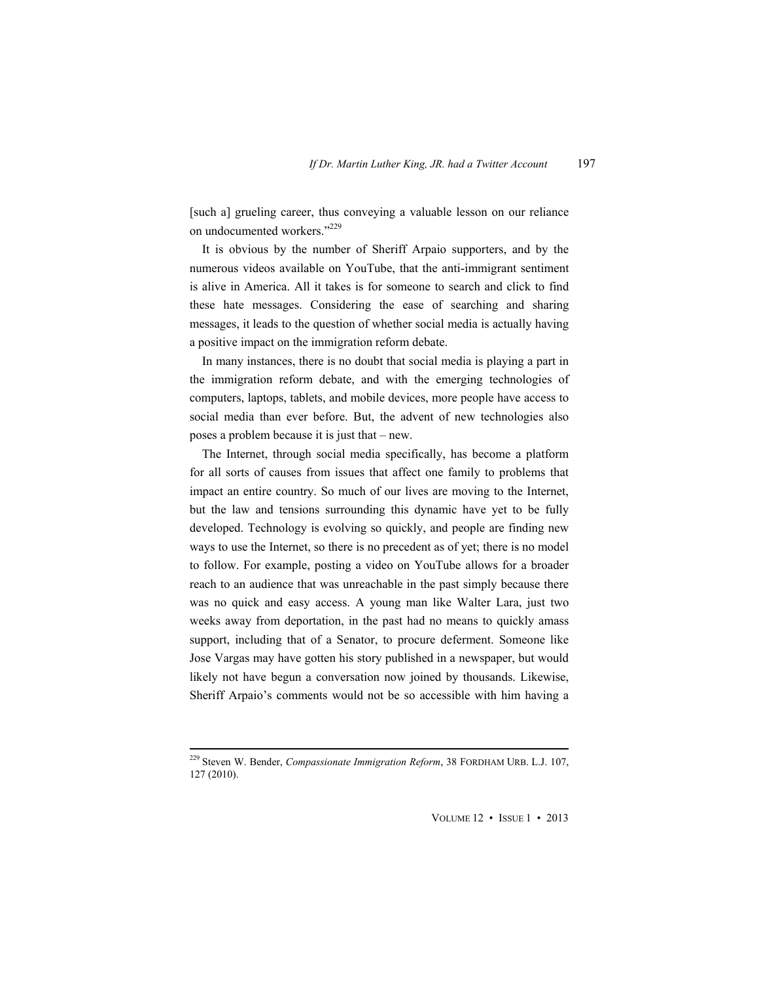[such a] grueling career, thus conveying a valuable lesson on our reliance on undocumented workers."<sup>229</sup>

It is obvious by the number of Sheriff Arpaio supporters, and by the numerous videos available on YouTube, that the anti-immigrant sentiment is alive in America. All it takes is for someone to search and click to find these hate messages. Considering the ease of searching and sharing messages, it leads to the question of whether social media is actually having a positive impact on the immigration reform debate.

In many instances, there is no doubt that social media is playing a part in the immigration reform debate, and with the emerging technologies of computers, laptops, tablets, and mobile devices, more people have access to social media than ever before. But, the advent of new technologies also poses a problem because it is just that – new.

The Internet, through social media specifically, has become a platform for all sorts of causes from issues that affect one family to problems that impact an entire country. So much of our lives are moving to the Internet, but the law and tensions surrounding this dynamic have yet to be fully developed. Technology is evolving so quickly, and people are finding new ways to use the Internet, so there is no precedent as of yet; there is no model to follow. For example, posting a video on YouTube allows for a broader reach to an audience that was unreachable in the past simply because there was no quick and easy access. A young man like Walter Lara, just two weeks away from deportation, in the past had no means to quickly amass support, including that of a Senator, to procure deferment. Someone like Jose Vargas may have gotten his story published in a newspaper, but would likely not have begun a conversation now joined by thousands. Likewise, Sheriff Arpaio's comments would not be so accessible with him having a

 229 Steven W. Bender, *Compassionate Immigration Reform*, 38 FORDHAM URB. L.J. 107, 127 (2010).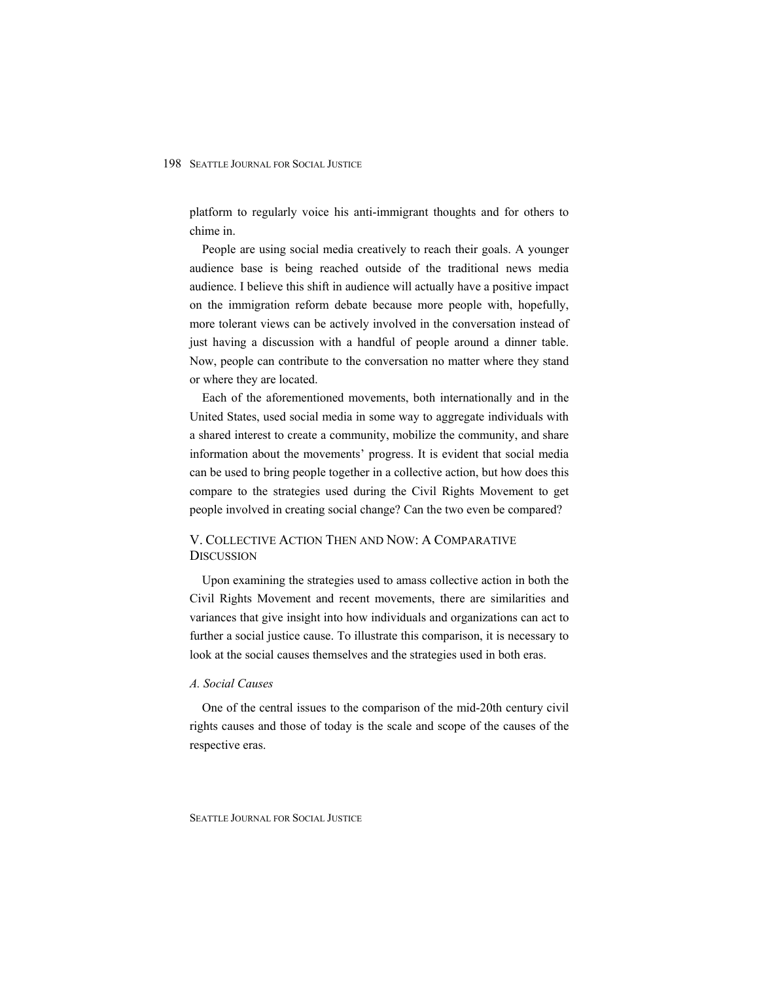platform to regularly voice his anti-immigrant thoughts and for others to chime in.

People are using social media creatively to reach their goals. A younger audience base is being reached outside of the traditional news media audience. I believe this shift in audience will actually have a positive impact on the immigration reform debate because more people with, hopefully, more tolerant views can be actively involved in the conversation instead of just having a discussion with a handful of people around a dinner table. Now, people can contribute to the conversation no matter where they stand or where they are located.

Each of the aforementioned movements, both internationally and in the United States, used social media in some way to aggregate individuals with a shared interest to create a community, mobilize the community, and share information about the movements' progress. It is evident that social media can be used to bring people together in a collective action, but how does this compare to the strategies used during the Civil Rights Movement to get people involved in creating social change? Can the two even be compared?

# V. COLLECTIVE ACTION THEN AND NOW: A COMPARATIVE **DISCUSSION**

Upon examining the strategies used to amass collective action in both the Civil Rights Movement and recent movements, there are similarities and variances that give insight into how individuals and organizations can act to further a social justice cause. To illustrate this comparison, it is necessary to look at the social causes themselves and the strategies used in both eras.

# *A. Social Causes*

One of the central issues to the comparison of the mid-20th century civil rights causes and those of today is the scale and scope of the causes of the respective eras.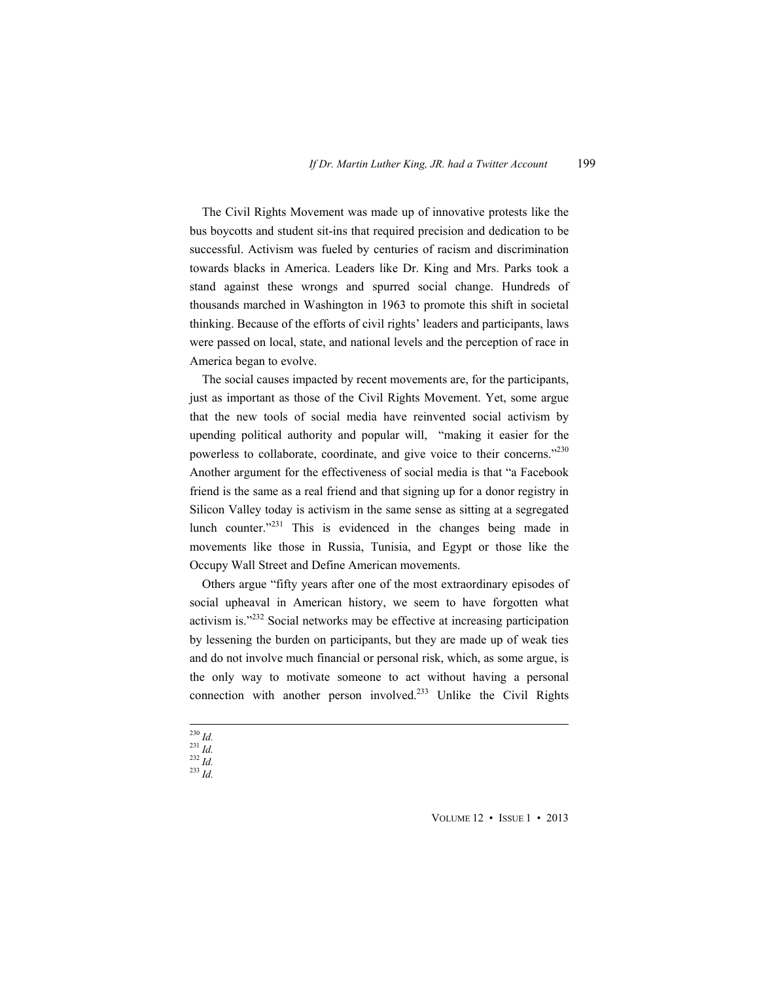The Civil Rights Movement was made up of innovative protests like the bus boycotts and student sit-ins that required precision and dedication to be successful. Activism was fueled by centuries of racism and discrimination towards blacks in America. Leaders like Dr. King and Mrs. Parks took a stand against these wrongs and spurred social change. Hundreds of thousands marched in Washington in 1963 to promote this shift in societal thinking. Because of the efforts of civil rights' leaders and participants, laws were passed on local, state, and national levels and the perception of race in America began to evolve.

The social causes impacted by recent movements are, for the participants, just as important as those of the Civil Rights Movement. Yet, some argue that the new tools of social media have reinvented social activism by upending political authority and popular will, "making it easier for the powerless to collaborate, coordinate, and give voice to their concerns.<sup>2230</sup> Another argument for the effectiveness of social media is that "a Facebook friend is the same as a real friend and that signing up for a donor registry in Silicon Valley today is activism in the same sense as sitting at a segregated lunch counter."231 This is evidenced in the changes being made in movements like those in Russia, Tunisia, and Egypt or those like the Occupy Wall Street and Define American movements.

Others argue "fifty years after one of the most extraordinary episodes of social upheaval in American history, we seem to have forgotten what activism is."232 Social networks may be effective at increasing participation by lessening the burden on participants, but they are made up of weak ties and do not involve much financial or personal risk, which, as some argue, is the only way to motivate someone to act without having a personal connection with another person involved. $233$  Unlike the Civil Rights

<sup>230</sup> *Id.* <sup>231</sup> *Id.* <sup>232</sup> *Id.* <sup>233</sup> *Id.*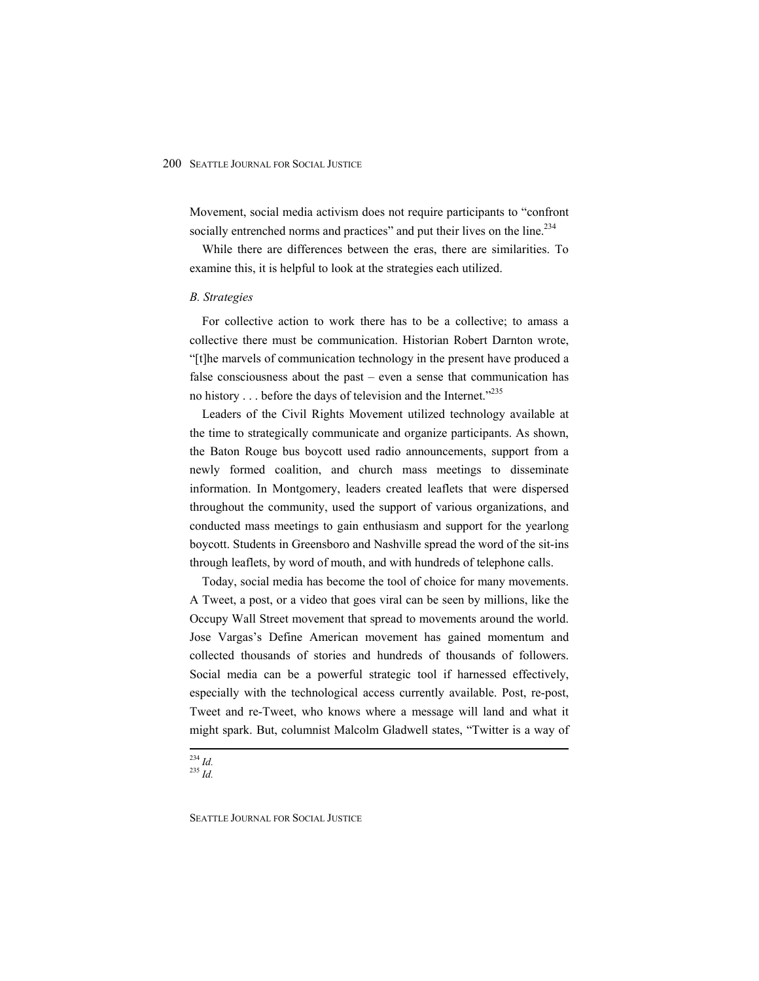Movement, social media activism does not require participants to "confront socially entrenched norms and practices" and put their lives on the line.<sup>234</sup>

While there are differences between the eras, there are similarities. To examine this, it is helpful to look at the strategies each utilized.

#### *B. Strategies*

For collective action to work there has to be a collective; to amass a collective there must be communication. Historian Robert Darnton wrote, "[t]he marvels of communication technology in the present have produced a false consciousness about the past – even a sense that communication has no history . . . before the days of television and the Internet."<sup>235</sup>

Leaders of the Civil Rights Movement utilized technology available at the time to strategically communicate and organize participants. As shown, the Baton Rouge bus boycott used radio announcements, support from a newly formed coalition, and church mass meetings to disseminate information. In Montgomery, leaders created leaflets that were dispersed throughout the community, used the support of various organizations, and conducted mass meetings to gain enthusiasm and support for the yearlong boycott. Students in Greensboro and Nashville spread the word of the sit-ins through leaflets, by word of mouth, and with hundreds of telephone calls.

Today, social media has become the tool of choice for many movements. A Tweet, a post, or a video that goes viral can be seen by millions, like the Occupy Wall Street movement that spread to movements around the world. Jose Vargas's Define American movement has gained momentum and collected thousands of stories and hundreds of thousands of followers. Social media can be a powerful strategic tool if harnessed effectively, especially with the technological access currently available. Post, re-post, Tweet and re-Tweet, who knows where a message will land and what it might spark. But, columnist Malcolm Gladwell states, "Twitter is a way of

 <sup>234</sup> *Id.* <sup>235</sup> *Id.*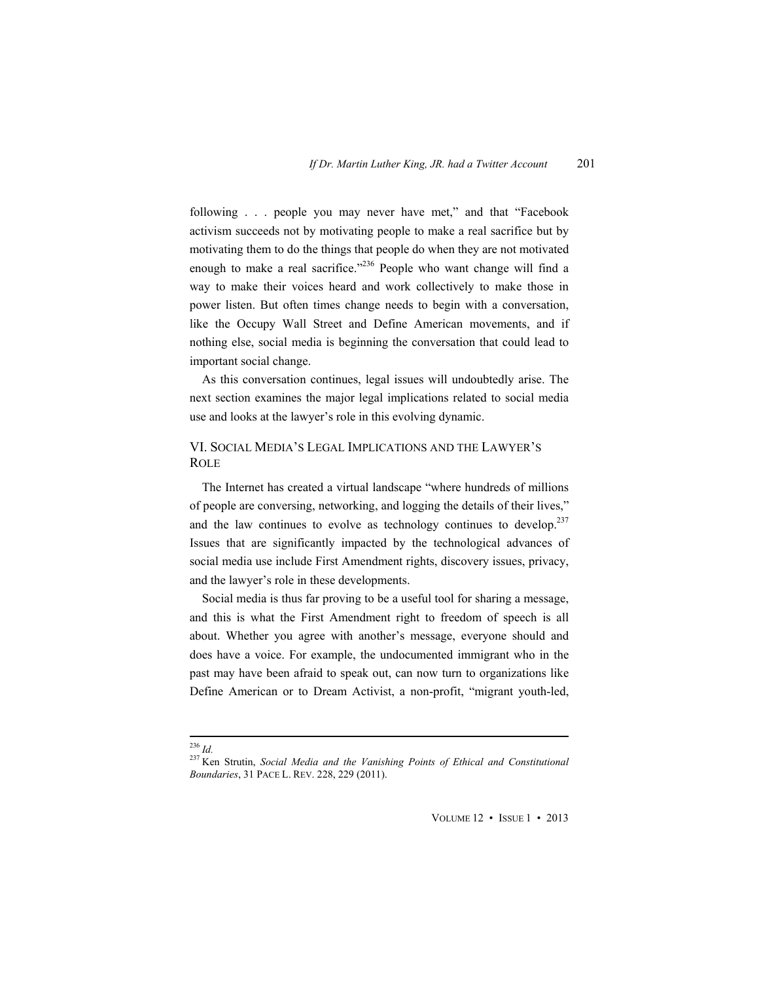following . . . people you may never have met," and that "Facebook activism succeeds not by motivating people to make a real sacrifice but by motivating them to do the things that people do when they are not motivated enough to make a real sacrifice."<sup>236</sup> People who want change will find a way to make their voices heard and work collectively to make those in power listen. But often times change needs to begin with a conversation, like the Occupy Wall Street and Define American movements, and if nothing else, social media is beginning the conversation that could lead to important social change.

As this conversation continues, legal issues will undoubtedly arise. The next section examines the major legal implications related to social media use and looks at the lawyer's role in this evolving dynamic.

# VI. SOCIAL MEDIA'S LEGAL IMPLICATIONS AND THE LAWYER'S ROLE

The Internet has created a virtual landscape "where hundreds of millions of people are conversing, networking, and logging the details of their lives," and the law continues to evolve as technology continues to develop.<sup>237</sup> Issues that are significantly impacted by the technological advances of social media use include First Amendment rights, discovery issues, privacy, and the lawyer's role in these developments.

Social media is thus far proving to be a useful tool for sharing a message, and this is what the First Amendment right to freedom of speech is all about. Whether you agree with another's message, everyone should and does have a voice. For example, the undocumented immigrant who in the past may have been afraid to speak out, can now turn to organizations like Define American or to Dream Activist, a non-profit, "migrant youth-led,

 <sup>236</sup> *Id.* 237 Ken Strutin, *Social Media and the Vanishing Points of Ethical and Constitutional Boundaries*, 31 PACE L. REV. 228, 229 (2011).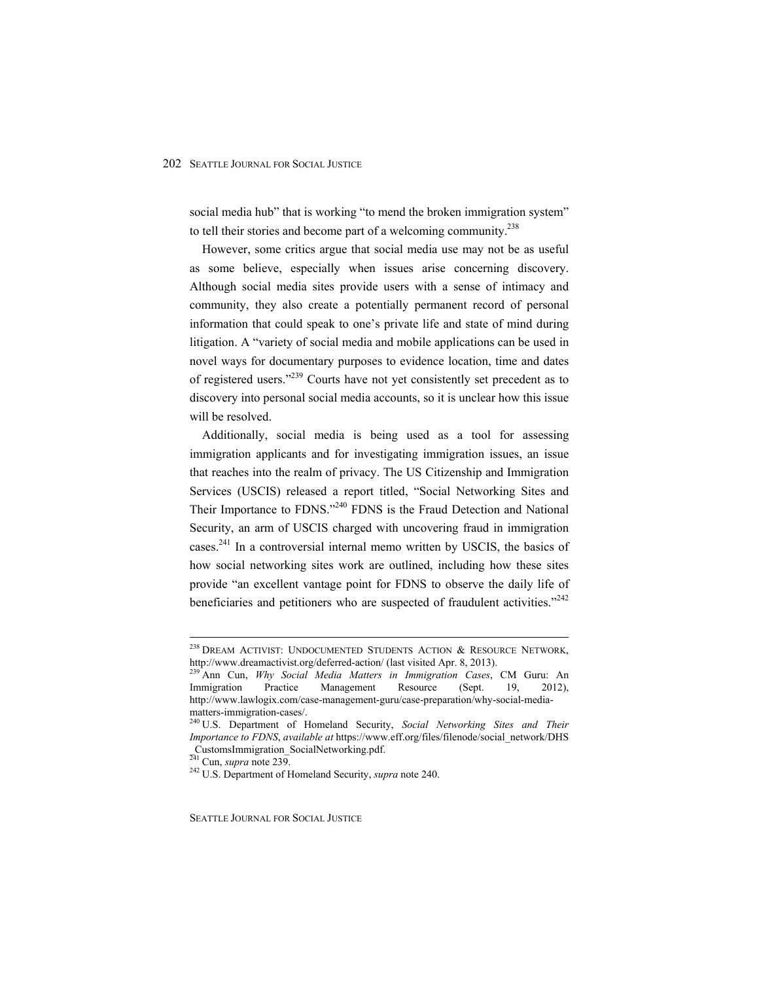social media hub" that is working "to mend the broken immigration system" to tell their stories and become part of a welcoming community.<sup>238</sup>

However, some critics argue that social media use may not be as useful as some believe, especially when issues arise concerning discovery. Although social media sites provide users with a sense of intimacy and community, they also create a potentially permanent record of personal information that could speak to one's private life and state of mind during litigation. A "variety of social media and mobile applications can be used in novel ways for documentary purposes to evidence location, time and dates of registered users."239 Courts have not yet consistently set precedent as to discovery into personal social media accounts, so it is unclear how this issue will be resolved.

Additionally, social media is being used as a tool for assessing immigration applicants and for investigating immigration issues, an issue that reaches into the realm of privacy. The US Citizenship and Immigration Services (USCIS) released a report titled, "Social Networking Sites and Their Importance to FDNS."<sup>240</sup> FDNS is the Fraud Detection and National Security, an arm of USCIS charged with uncovering fraud in immigration cases.<sup>241</sup> In a controversial internal memo written by USCIS, the basics of how social networking sites work are outlined, including how these sites provide "an excellent vantage point for FDNS to observe the daily life of beneficiaries and petitioners who are suspected of fraudulent activities."<sup>242</sup>

<sup>&</sup>lt;sup>238</sup> DREAM ACTIVIST: UNDOCUMENTED STUDENTS ACTION  $\&$  RESOURCE NETWORK, http://www.dreamactivist.org/deferred-action/ (last visited Apr. 8, 2013).

<sup>239</sup> Ann Cun, *Why Social Media Matters in Immigration Cases*, CM Guru: An Immigration Practice Management Resource (Sept. 19, 2012), http://www.lawlogix.com/case-management-guru/case-preparation/why-social-mediamatters-immigration-cases/.

<sup>240</sup> U.S. Department of Homeland Security, *Social Networking Sites and Their Importance to FDNS*, *available at* https://www.eff.org/files/filenode/social\_network/DHS  $\frac{\text{CustomsImmigration}}{241}$  Cun, *supra* note 239.

<sup>&</sup>lt;sup>242</sup> U.S. Department of Homeland Security, *supra* note 240.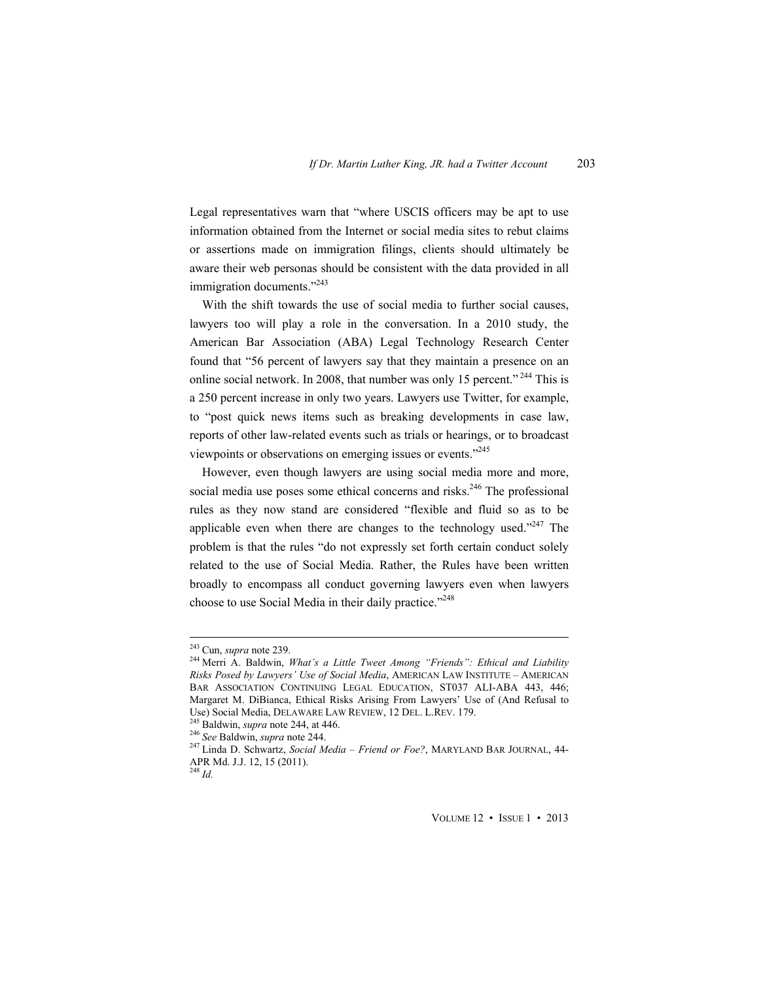Legal representatives warn that "where USCIS officers may be apt to use information obtained from the Internet or social media sites to rebut claims or assertions made on immigration filings, clients should ultimately be aware their web personas should be consistent with the data provided in all immigration documents."<sup>243</sup>

With the shift towards the use of social media to further social causes, lawyers too will play a role in the conversation. In a 2010 study, the American Bar Association (ABA) Legal Technology Research Center found that "56 percent of lawyers say that they maintain a presence on an online social network. In 2008, that number was only 15 percent."<sup>244</sup> This is a 250 percent increase in only two years. Lawyers use Twitter, for example, to "post quick news items such as breaking developments in case law, reports of other law-related events such as trials or hearings, or to broadcast viewpoints or observations on emerging issues or events."245

However, even though lawyers are using social media more and more, social media use poses some ethical concerns and risks.<sup>246</sup> The professional rules as they now stand are considered "flexible and fluid so as to be applicable even when there are changes to the technology used."<sup>247</sup> The problem is that the rules "do not expressly set forth certain conduct solely related to the use of Social Media. Rather, the Rules have been written broadly to encompass all conduct governing lawyers even when lawyers choose to use Social Media in their daily practice."<sup>248</sup>

<sup>&</sup>lt;sup>243</sup> Cun, *supra* note 239.<br><sup>244</sup> Merri A. Baldwin, *What's a Little Tweet Among "Friends": Ethical and Liability Risks Posed by Lawyers' Use of Social Media*, AMERICAN LAW INSTITUTE – AMERICAN BAR ASSOCIATION CONTINUING LEGAL EDUCATION, ST037 ALI-ABA 443, 446; Margaret M. DiBianca, Ethical Risks Arising From Lawyers' Use of (And Refusal to Use) Social Media, DELAWARE LAW REVIEW, 12 DEL. L.REV. 179.<br><sup>245</sup> Baldwin, *supra* note 244, at 446.<br><sup>246</sup> See Baldwin, *supra* note 244.<br><sup>247</sup> Linda D. Schwartz, *Social Media – Friend or Foe?*, MARYLAND BAR JOURNAL, 44-

APR Md. J.J. 12, 15 (2011). <sup>248</sup> *Id.*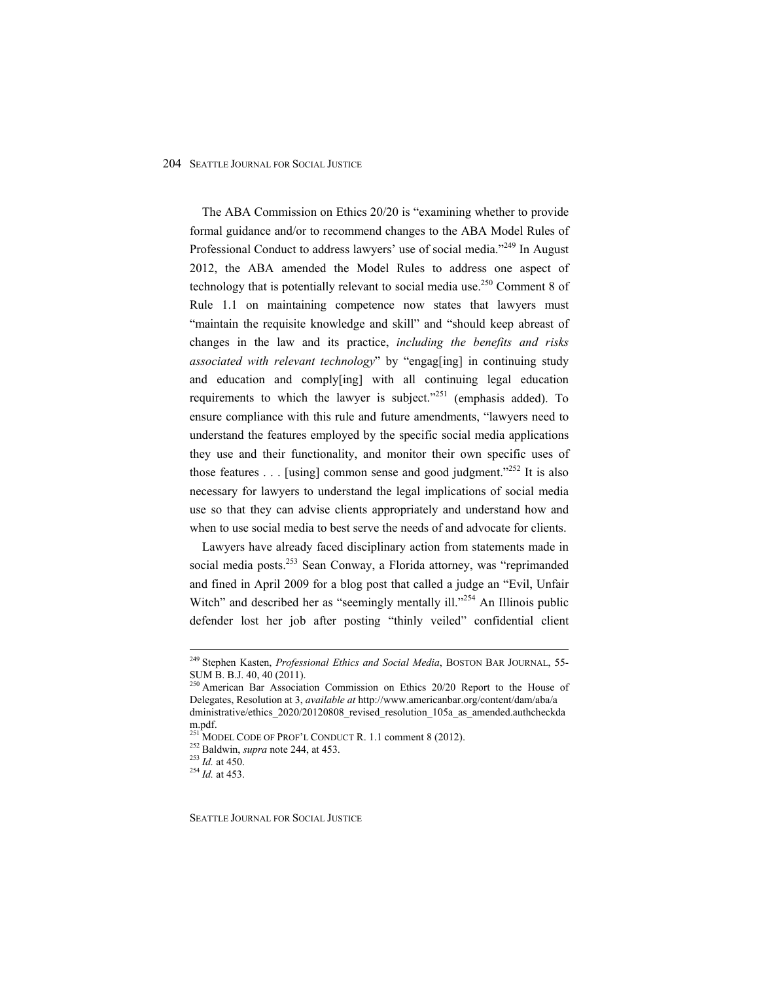The ABA Commission on Ethics 20/20 is "examining whether to provide formal guidance and/or to recommend changes to the ABA Model Rules of Professional Conduct to address lawyers' use of social media."<sup>249</sup> In August 2012, the ABA amended the Model Rules to address one aspect of technology that is potentially relevant to social media use.<sup>250</sup> Comment 8 of Rule 1.1 on maintaining competence now states that lawyers must "maintain the requisite knowledge and skill" and "should keep abreast of changes in the law and its practice, *including the benefits and risks associated with relevant technology*" by "engag[ing] in continuing study and education and comply[ing] with all continuing legal education requirements to which the lawyer is subject. $251$  (emphasis added). To ensure compliance with this rule and future amendments, "lawyers need to understand the features employed by the specific social media applications they use and their functionality, and monitor their own specific uses of those features  $\ldots$  [using] common sense and good judgment.<sup>2252</sup> It is also necessary for lawyers to understand the legal implications of social media use so that they can advise clients appropriately and understand how and when to use social media to best serve the needs of and advocate for clients.

Lawyers have already faced disciplinary action from statements made in social media posts.<sup>253</sup> Sean Conway, a Florida attorney, was "reprimanded and fined in April 2009 for a blog post that called a judge an "Evil, Unfair Witch" and described her as "seemingly mentally ill."<sup>254</sup> An Illinois public defender lost her job after posting "thinly veiled" confidential client

 249 Stephen Kasten, *Professional Ethics and Social Media*, BOSTON BAR JOURNAL, 55- SUM B. B.J. 40, 40 (2011).

 $^{250}$  American Bar Association Commission on Ethics 20/20 Report to the House of Delegates, Resolution at 3, *available at* http://www.americanbar.org/content/dam/aba/a dministrative/ethics\_2020/20120808\_revised\_resolution\_105a\_as\_amended.authcheckda m.pdf.

<sup>&</sup>lt;sup>251</sup> MODEL CODE OF PROF'L CONDUCT R. 1.1 comment 8 (2012).<br><sup>252</sup> Baldwin, *supra* note 244, at 453.<br><sup>253</sup> *Id.* at 450.<br>*Id.* at 453.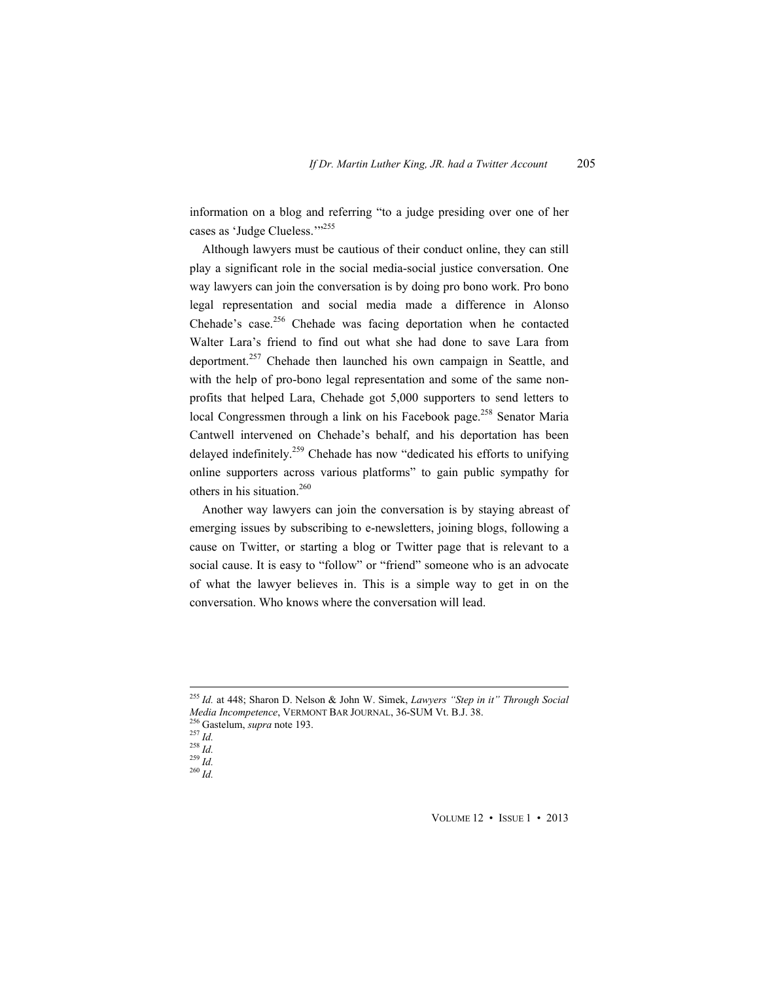information on a blog and referring "to a judge presiding over one of her cases as 'Judge Clueless.'"<sup>255</sup>

Although lawyers must be cautious of their conduct online, they can still play a significant role in the social media-social justice conversation. One way lawyers can join the conversation is by doing pro bono work. Pro bono legal representation and social media made a difference in Alonso Chehade's case.<sup>256</sup> Chehade was facing deportation when he contacted Walter Lara's friend to find out what she had done to save Lara from deportment.<sup>257</sup> Chehade then launched his own campaign in Seattle, and with the help of pro-bono legal representation and some of the same nonprofits that helped Lara, Chehade got 5,000 supporters to send letters to local Congressmen through a link on his Facebook page.<sup>258</sup> Senator Maria Cantwell intervened on Chehade's behalf, and his deportation has been delayed indefinitely.<sup>259</sup> Chehade has now "dedicated his efforts to unifying online supporters across various platforms" to gain public sympathy for others in his situation.<sup>260</sup>

Another way lawyers can join the conversation is by staying abreast of emerging issues by subscribing to e-newsletters, joining blogs, following a cause on Twitter, or starting a blog or Twitter page that is relevant to a social cause. It is easy to "follow" or "friend" someone who is an advocate of what the lawyer believes in. This is a simple way to get in on the conversation. Who knows where the conversation will lead.

 <sup>255</sup> *Id.* at 448; Sharon D. Nelson & John W. Simek, *Lawyers "Step in it" Through Social Media Incompetence*, VERMONT BAR JOURNAL, 36-SUM Vt. B.J. 38.<br><sup>256</sup> Gastelum, *supra* note 193.<br><sup>257</sup> *Id.* <sup>258</sup> *Id.* <sup>258</sup> *Id.* <sup>259</sup> *Id.* <sup>259</sup> *Id.*